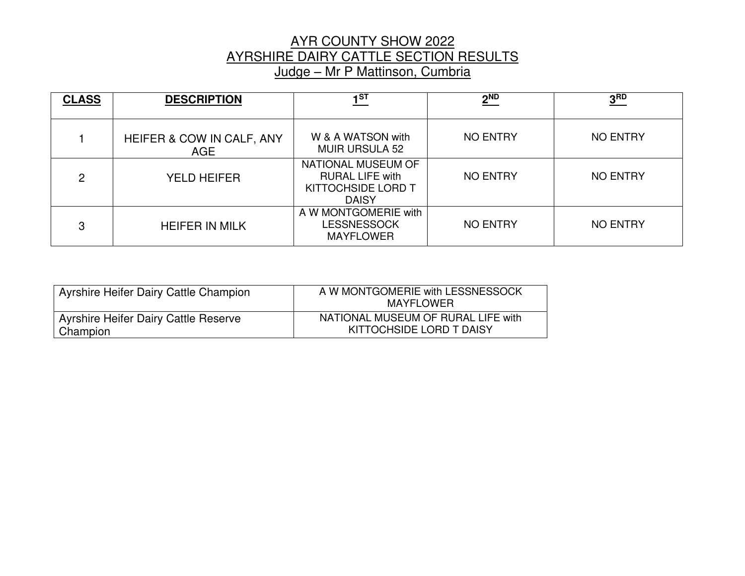#### AYR COUNTY SHOW 2022 AYRSHIRE DAIRY CATTLE SECTION RESULTS Judge – Mr P Mattinson, Cumbria

| <b>CLASS</b>  | <b>DESCRIPTION</b>                      | 1 <sub>ST</sub>                                                                           | 2 <sup>ND</sup> | 3 <sub>RD</sub> |
|---------------|-----------------------------------------|-------------------------------------------------------------------------------------------|-----------------|-----------------|
|               | HEIFER & COW IN CALF, ANY<br><b>AGE</b> | W & A WATSON with<br><b>MUIR URSULA 52</b>                                                | <b>NO ENTRY</b> | <b>NO ENTRY</b> |
| $\mathcal{P}$ | <b>YELD HEIFER</b>                      | NATIONAL MUSEUM OF<br><b>RURAL LIFE with</b><br><b>KITTOCHSIDE LORD T</b><br><b>DAISY</b> | <b>NO ENTRY</b> | <b>NO ENTRY</b> |
| 3             | <b>HEIFER IN MILK</b>                   | A W MONTGOMERIE with<br>LESSNESSOCK<br><b>MAYFLOWER</b>                                   | <b>NO ENTRY</b> | <b>NO ENTRY</b> |

| Ayrshire Heifer Dairy Cattle Champion | A W MONTGOMERIE with LESSNESSOCK<br>MAYFLOWER |
|---------------------------------------|-----------------------------------------------|
| Ayrshire Heifer Dairy Cattle Reserve  | NATIONAL MUSEUM OF RURAL LIFE with            |
| Champion                              | KITTOCHSIDE LORD T DAISY                      |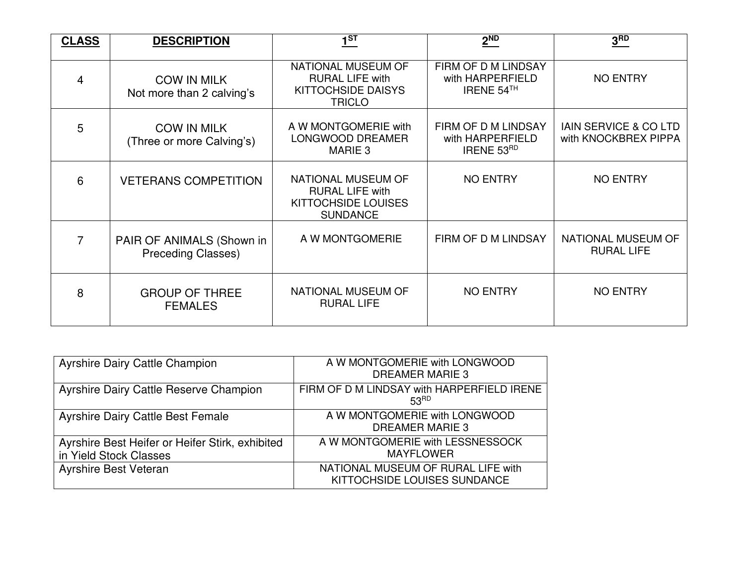| <b>CLASS</b> | <b>DESCRIPTION</b>                              | $1^{ST}$                                                                                   | 2 <sup>ND</sup>                                              | 3 <sub>RD</sub>                                          |
|--------------|-------------------------------------------------|--------------------------------------------------------------------------------------------|--------------------------------------------------------------|----------------------------------------------------------|
| 4            | <b>COW IN MILK</b><br>Not more than 2 calving's | NATIONAL MUSEUM OF<br><b>RURAL LIFE with</b><br><b>KITTOCHSIDE DAISYS</b><br><b>TRICLO</b> | FIRM OF D M LINDSAY<br>with HARPERFIELD<br>IRENE 54TH        | <b>NO ENTRY</b>                                          |
| 5            | <b>COW IN MILK</b><br>(Three or more Calving's) | A W MONTGOMERIE with<br>LONGWOOD DREAMER<br>MARIE <sub>3</sub>                             | FIRM OF D M LINDSAY<br>with HARPERFIELD<br><b>IRENE 53RD</b> | <b>IAIN SERVICE &amp; CO LTD</b><br>with KNOCKBREX PIPPA |
| 6            | <b>VETERANS COMPETITION</b>                     | NATIONAL MUSEUM OF<br><b>RURAL LIFE with</b><br>KITTOCHSIDE LOUISES<br><b>SUNDANCE</b>     | <b>NO ENTRY</b>                                              | <b>NO ENTRY</b>                                          |
| 7            | PAIR OF ANIMALS (Shown in<br>Preceding Classes) | A W MONTGOMERIE                                                                            | FIRM OF D M LINDSAY                                          | <b>NATIONAL MUSEUM OF</b><br><b>RURAL LIFE</b>           |
| 8            | <b>GROUP OF THREE</b><br><b>FEMALES</b>         | NATIONAL MUSEUM OF<br><b>RURAL LIFE</b>                                                    | <b>NO ENTRY</b>                                              | <b>NO ENTRY</b>                                          |

| <b>Ayrshire Dairy Cattle Champion</b>                                     | A W MONTGOMERIE with LONGWOOD<br>DREAMER MARIE 3                   |
|---------------------------------------------------------------------------|--------------------------------------------------------------------|
| <b>Ayrshire Dairy Cattle Reserve Champion</b>                             | FIRM OF D M LINDSAY with HARPERFIELD IRENE<br>53 <sup>RD</sup>     |
| <b>Ayrshire Dairy Cattle Best Female</b>                                  | A W MONTGOMERIE with LONGWOOD<br>DREAMER MARIE 3                   |
| Ayrshire Best Heifer or Heifer Stirk, exhibited<br>in Yield Stock Classes | A W MONTGOMERIE with LESSNESSOCK<br><b>MAYFLOWER</b>               |
| <b>Ayrshire Best Veteran</b>                                              | NATIONAL MUSEUM OF RURAL LIFE with<br>KITTOCHSIDE LOUISES SUNDANCE |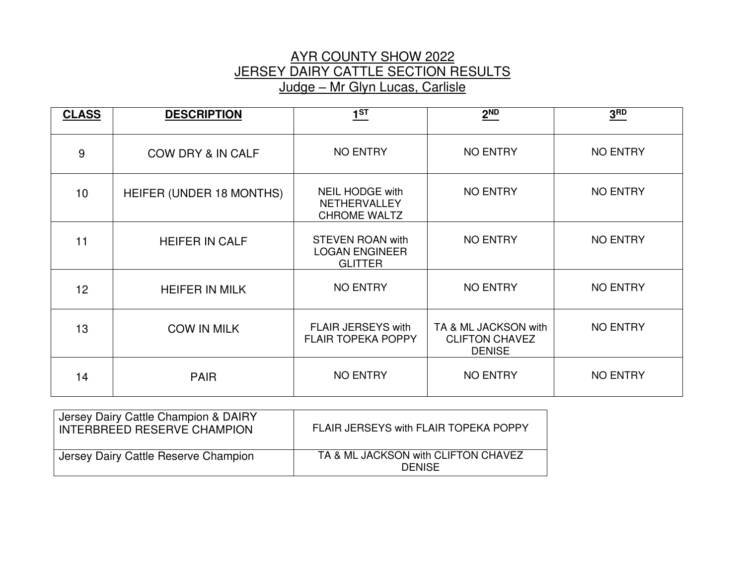#### AYR COUNTY SHOW 2022 JERSEY DAIRY CATTLE SECTION RESULTS Judge – Mr Glyn Lucas, Carlisle

| <b>CLASS</b> | <b>DESCRIPTION</b>           | $1^{ST}$                                                           | $2^{ND}$                                                       | 3 <sup>RD</sup> |
|--------------|------------------------------|--------------------------------------------------------------------|----------------------------------------------------------------|-----------------|
| 9            | <b>COW DRY &amp; IN CALF</b> | <b>NO ENTRY</b>                                                    | <b>NO ENTRY</b>                                                | <b>NO ENTRY</b> |
| 10           | HEIFER (UNDER 18 MONTHS)     | <b>NEIL HODGE with</b><br>NETHERVALLEY<br><b>CHROME WALTZ</b>      | <b>NO ENTRY</b>                                                | <b>NO ENTRY</b> |
| 11           | <b>HEIFER IN CALF</b>        | <b>STEVEN ROAN with</b><br><b>LOGAN ENGINEER</b><br><b>GLITTER</b> | <b>NO ENTRY</b>                                                | <b>NO ENTRY</b> |
| 12           | <b>HEIFER IN MILK</b>        | <b>NO ENTRY</b>                                                    | <b>NO ENTRY</b>                                                | <b>NO ENTRY</b> |
| 13           | <b>COW IN MILK</b>           | <b>FLAIR JERSEYS with</b><br><b>FLAIR TOPEKA POPPY</b>             | TA & ML JACKSON with<br><b>CLIFTON CHAVEZ</b><br><b>DENISE</b> | <b>NO ENTRY</b> |
| 14           | <b>PAIR</b>                  | <b>NO ENTRY</b>                                                    | <b>NO ENTRY</b>                                                | <b>NO ENTRY</b> |

| Jersey Dairy Cattle Champion & DAIRY<br>INTERBREED RESERVE CHAMPION | FLAIR JERSEYS with FLAIR TOPEKA POPPY                |
|---------------------------------------------------------------------|------------------------------------------------------|
| Jersey Dairy Cattle Reserve Champion                                | TA & ML JACKSON with CLIFTON CHAVEZ<br><b>DENISE</b> |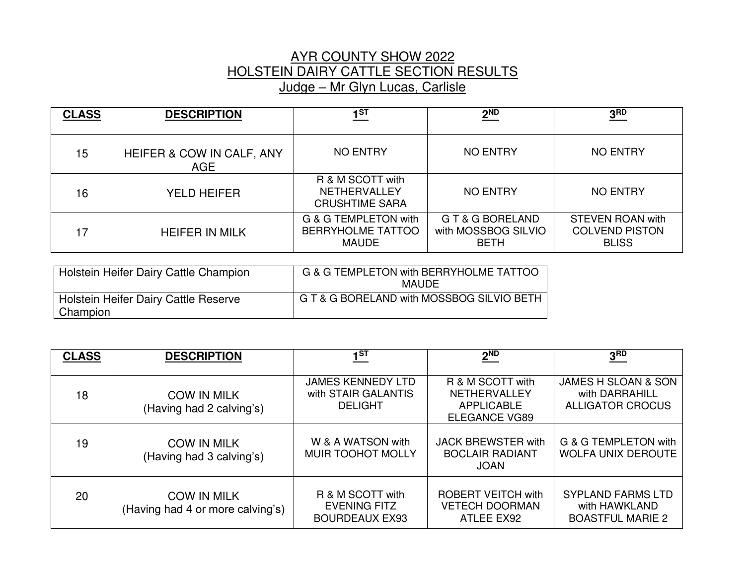# AYR COUNTY SHOW 2022 HOLSTEIN DAIRY CATTLE SECTION RESULTS Judge – Mr Glyn Lucas, Carlisle

| <b>CLASS</b> | <b>DESCRIPTION</b>                      | 1ST                                                              | $2^{ND}$                                               | 3 <sup>RD</sup>                                                  |
|--------------|-----------------------------------------|------------------------------------------------------------------|--------------------------------------------------------|------------------------------------------------------------------|
| 15           | HEIFER & COW IN CALF, ANY<br><b>AGE</b> | <b>NO ENTRY</b>                                                  | <b>NO ENTRY</b>                                        | <b>NO ENTRY</b>                                                  |
| 16           | <b>YELD HEIFER</b>                      | R & M SCOTT with<br><b>NETHERVALLEY</b><br><b>CRUSHTIME SARA</b> | <b>NO ENTRY</b>                                        | <b>NO ENTRY</b>                                                  |
| 17           | <b>HEIFER IN MILK</b>                   | G & G TEMPLETON with<br><b>BERRYHOLME TATTOO</b><br><b>MAUDE</b> | G T & G BORELAND<br>with MOSSBOG SILVIO<br><b>BETH</b> | <b>STEVEN ROAN with</b><br><b>COLVEND PISTON</b><br><b>BLISS</b> |

| Holstein Heifer Dairy Cattle Champion            | G & G TEMPLETON with BERRYHOLME TATTOO<br><b>MAUDE</b> |
|--------------------------------------------------|--------------------------------------------------------|
| Holstein Heifer Dairy Cattle Reserve<br>Champion | G T & G BORELAND with MOSSBOG SILVIO BETH              |

| <b>CLASS</b> | <b>DESCRIPTION</b>                                     | 1 <sup>ST</sup>                                                   | $2^{ND}$                                                                             | 3 <sub>RD</sub>                                                             |
|--------------|--------------------------------------------------------|-------------------------------------------------------------------|--------------------------------------------------------------------------------------|-----------------------------------------------------------------------------|
| 18           | <b>COW IN MILK</b><br>(Having had 2 calving's)         | <b>JAMES KENNEDY LTD</b><br>with STAIR GALANTIS<br><b>DELIGHT</b> | R & M SCOTT with<br><b>NETHERVALLEY</b><br><b>APPLICABLE</b><br><b>ELEGANCE VG89</b> | <b>JAMES H SLOAN &amp; SON</b><br>with DARRAHILL<br><b>ALLIGATOR CROCUS</b> |
| 19           | <b>COW IN MILK</b><br>(Having had 3 calving's)         | W & A WATSON with<br><b>MUIR TOOHOT MOLLY</b>                     | <b>JACK BREWSTER with</b><br><b>BOCLAIR RADIANT</b><br><b>JOAN</b>                   | G & G TEMPLETON with<br><b>WOLFA UNIX DEROUTE</b>                           |
| 20           | <b>COW IN MILK</b><br>(Having had 4 or more calving's) | R & M SCOTT with<br><b>EVENING FITZ</b><br><b>BOURDEAUX EX93</b>  | <b>ROBERT VEITCH with</b><br><b>VETECH DOORMAN</b><br>ATLEE EX92                     | <b>SYPLAND FARMS LTD</b><br>with HAWKLAND<br><b>BOASTFUL MARIE 2</b>        |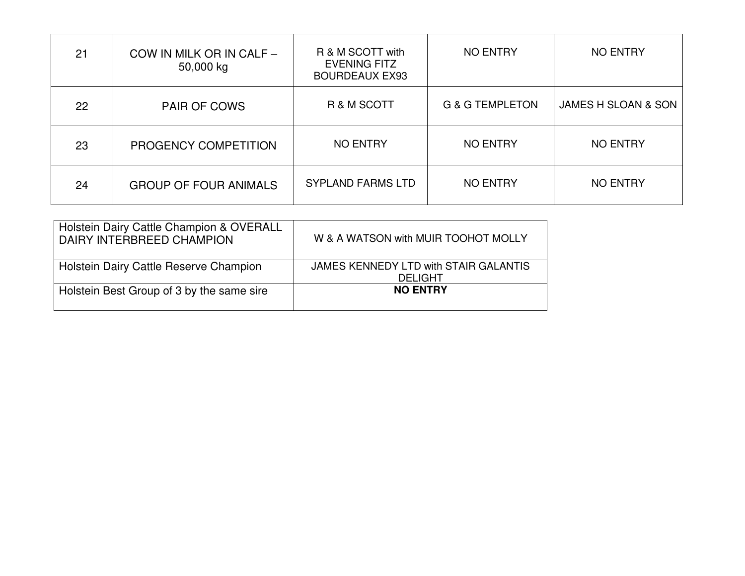| 21 | COW IN MILK OR IN CALF -<br>50,000 kg | R & M SCOTT with<br><b>EVENING FITZ</b><br><b>BOURDEAUX EX93</b> | <b>NO ENTRY</b>            | <b>NO ENTRY</b>     |
|----|---------------------------------------|------------------------------------------------------------------|----------------------------|---------------------|
| 22 | <b>PAIR OF COWS</b>                   | R & M SCOTT                                                      | <b>G &amp; G TEMPLETON</b> | JAMES H SLOAN & SON |
| 23 | PROGENCY COMPETITION                  | <b>NO ENTRY</b>                                                  | <b>NO ENTRY</b>            | <b>NO ENTRY</b>     |
| 24 | <b>GROUP OF FOUR ANIMALS</b>          | <b>SYPLAND FARMS LTD</b>                                         | <b>NO ENTRY</b>            | <b>NO ENTRY</b>     |

| Holstein Dairy Cattle Champion & OVERALL<br>DAIRY INTERBREED CHAMPION | W & A WATSON with MUIR TOOHOT MOLLY                     |
|-----------------------------------------------------------------------|---------------------------------------------------------|
| Holstein Dairy Cattle Reserve Champion                                | JAMES KENNEDY LTD with STAIR GALANTIS<br><b>DELIGHT</b> |
| Holstein Best Group of 3 by the same sire                             | <b>NO ENTRY</b>                                         |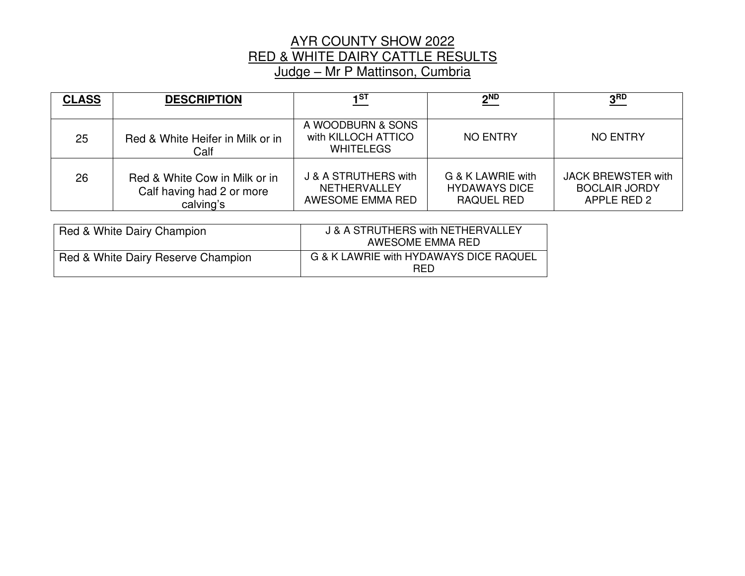# AYR COUNTY SHOW 2022 RED & WHITE DAIRY CATTLE RESULTS Judge – Mr P Mattinson, Cumbria

| <b>CLASS</b> | <b>DESCRIPTION</b>                                                      | 1 <sup>ST</sup>                                                 | $2^{ND}$                                                | 3 <sub>BD</sub>                                                  |
|--------------|-------------------------------------------------------------------------|-----------------------------------------------------------------|---------------------------------------------------------|------------------------------------------------------------------|
| 25           | Red & White Heifer in Milk or in<br>Calf                                | A WOODBURN & SONS<br>with KILLOCH ATTICO<br><b>WHITELEGS</b>    | NO ENTRY                                                | NO ENTRY                                                         |
| 26           | Red & White Cow in Milk or in<br>Calf having had 2 or more<br>calving's | J & A STRUTHERS with<br><b>NETHERVALLEY</b><br>AWESOME EMMA RED | G & K LAWRIE with<br><b>HYDAWAYS DICE</b><br>RAQUEL RED | <b>JACK BREWSTER with</b><br><b>BOCLAIR JORDY</b><br>APPLE RED 2 |

| Red & White Dairy Champion         | J & A STRUTHERS with NETHERVALLEY<br>AWESOME EMMA RED |
|------------------------------------|-------------------------------------------------------|
| Red & White Dairy Reserve Champion | G & K LAWRIE with HYDAWAYS DICE RAQUEL<br><b>RED</b>  |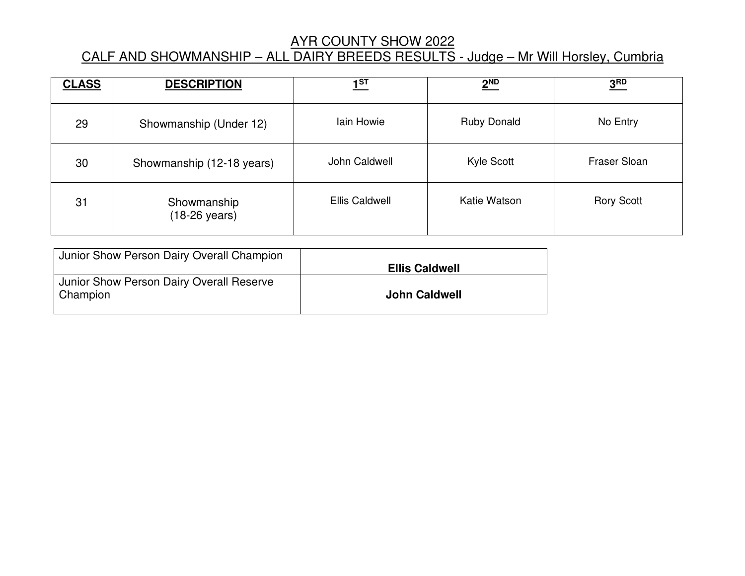#### AYR COUNTY SHOW 2022

# CALF AND SHOWMANSHIP – ALL DAIRY BREEDS RESULTS - Judge – Mr Will Horsley, Cumbria

| <b>CLASS</b> | <b>DESCRIPTION</b>                     | 1 <sup>ST</sup> | $2^{ND}$           | 3 <sup>RD</sup>   |
|--------------|----------------------------------------|-----------------|--------------------|-------------------|
| 29           | Showmanship (Under 12)                 | Iain Howie      | <b>Ruby Donald</b> | No Entry          |
| 30           | Showmanship (12-18 years)              | John Caldwell   | Kyle Scott         | Fraser Sloan      |
| 31           | Showmanship<br>$(18-26 \text{ years})$ | Ellis Caldwell  | Katie Watson       | <b>Rory Scott</b> |

| Junior Show Person Dairy Overall Champion            |                       |
|------------------------------------------------------|-----------------------|
|                                                      | <b>Ellis Caldwell</b> |
| Junior Show Person Dairy Overall Reserve<br>Champion | <b>John Caldwell</b>  |
|                                                      |                       |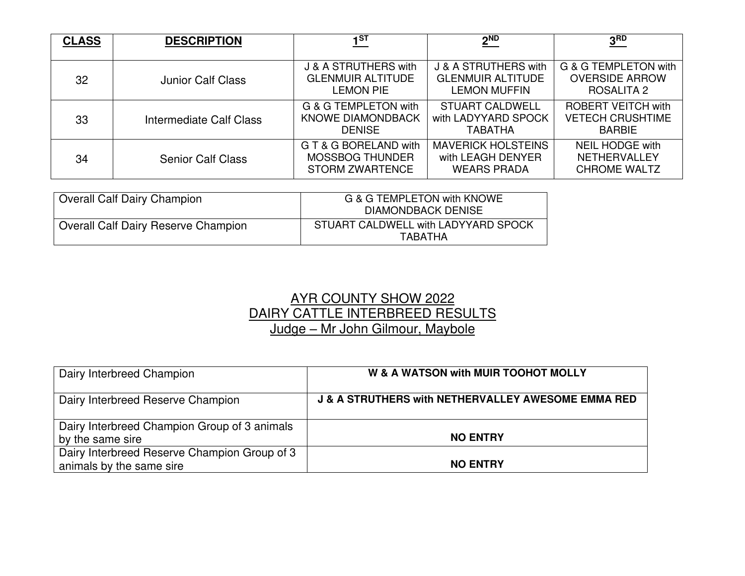| <b>CLASS</b> | <b>DESCRIPTION</b>       | 1 <sup>ST</sup>                                                           | $2^{ND}$                                                                | 3 <sup>RD</sup>                                                       |
|--------------|--------------------------|---------------------------------------------------------------------------|-------------------------------------------------------------------------|-----------------------------------------------------------------------|
|              |                          |                                                                           |                                                                         |                                                                       |
| 32           | <b>Junior Calf Class</b> | J & A STRUTHERS with<br><b>GLENMUIR ALTITUDE</b><br><b>LEMON PIE</b>      | J & A STRUTHERS with<br><b>GLENMUIR ALTITUDE</b><br><b>LEMON MUFFIN</b> | G & G TEMPLETON with<br><b>OVERSIDE ARROW</b><br><b>ROSALITA 2</b>    |
| 33           | Intermediate Calf Class  | G & G TEMPLETON with<br><b>KNOWE DIAMONDBACK</b><br><b>DENISE</b>         | <b>STUART CALDWELL</b><br>with LADYYARD SPOCK<br><b>TABATHA</b>         | <b>ROBERT VEITCH with</b><br><b>VETECH CRUSHTIME</b><br><b>BARBIE</b> |
| 34           | <b>Senior Calf Class</b> | G T & G BORELAND with<br><b>MOSSBOG THUNDER</b><br><b>STORM ZWARTENCE</b> | <b>MAVERICK HOLSTEINS</b><br>with LEAGH DENYER<br><b>WEARS PRADA</b>    | <b>NEIL HODGE with</b><br><b>NETHERVALLEY</b><br><b>CHROME WALTZ</b>  |

| Overall Calf Dairy Champion                | G & G TEMPLETON with KNOWE<br><b>DIAMONDBACK DENISE</b> |
|--------------------------------------------|---------------------------------------------------------|
| <b>Overall Calf Dairy Reserve Champion</b> | STUART CALDWELL with LADYYARD SPOCK<br><b>TARATHA</b>   |

## AYR COUNTY SHOW 2022 DAIRY CATTLE INTERBREED RESULTS Judge – Mr John Gilmour, Maybole

| Dairy Interbreed Champion                                                | W & A WATSON with MUIR TOOHOT MOLLY                           |
|--------------------------------------------------------------------------|---------------------------------------------------------------|
| Dairy Interbreed Reserve Champion                                        | <b>J &amp; A STRUTHERS with NETHERVALLEY AWESOME EMMA RED</b> |
| Dairy Interbreed Champion Group of 3 animals<br>by the same sire         | <b>NO ENTRY</b>                                               |
| Dairy Interbreed Reserve Champion Group of 3<br>animals by the same sire | <b>NO ENTRY</b>                                               |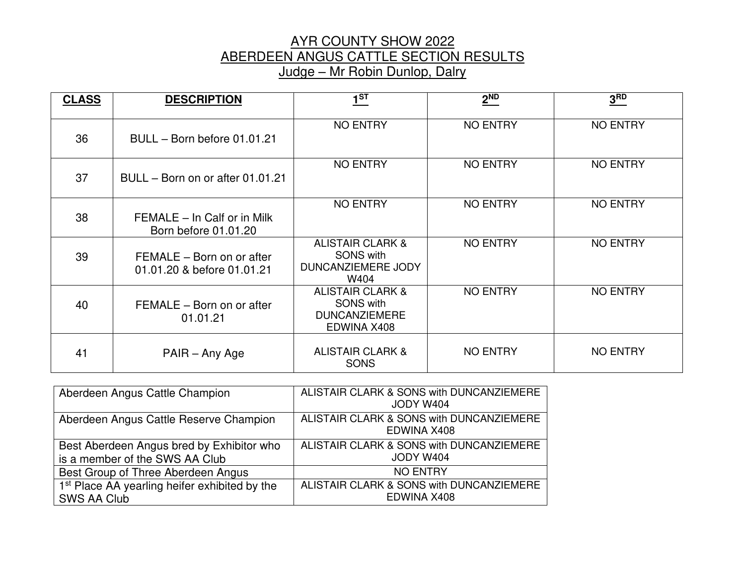#### AYR COUNTY SHOW 2022 ABERDEEN ANGUS CATTLE SECTION RESULTS Judge – Mr Robin Dunlop, Dalry

| <b>CLASS</b> | <b>DESCRIPTION</b>                                      | $1^{ST}$                                                                               | 2 <sup>ND</sup> | 3 <sup>RD</sup> |
|--------------|---------------------------------------------------------|----------------------------------------------------------------------------------------|-----------------|-----------------|
| 36           | BULL - Born before 01.01.21                             | <b>NO ENTRY</b>                                                                        | <b>NO ENTRY</b> | <b>NO ENTRY</b> |
| 37           | BULL – Born on or after 01.01.21                        | <b>NO ENTRY</b>                                                                        | <b>NO ENTRY</b> | <b>NO ENTRY</b> |
| 38           | FEMALE - In Calf or in Milk<br>Born before 01.01.20     | <b>NO ENTRY</b>                                                                        | <b>NO ENTRY</b> | <b>NO ENTRY</b> |
| 39           | FEMALE - Born on or after<br>01.01.20 & before 01.01.21 | <b>ALISTAIR CLARK &amp;</b><br><b>SONS with</b><br>DUNCANZIEMERE JODY<br>W404          | <b>NO ENTRY</b> | <b>NO ENTRY</b> |
| 40           | FEMALE - Born on or after<br>01.01.21                   | <b>ALISTAIR CLARK &amp;</b><br><b>SONS with</b><br><b>DUNCANZIEMERE</b><br>EDWINA X408 | <b>NO ENTRY</b> | <b>NO ENTRY</b> |
| 41           | PAIR - Any Age                                          | <b>ALISTAIR CLARK &amp;</b><br><b>SONS</b>                                             | <b>NO ENTRY</b> | <b>NO ENTRY</b> |

| Aberdeen Angus Cattle Champion                                              | ALISTAIR CLARK & SONS with DUNCANZIEMERE<br>JODY W404   |
|-----------------------------------------------------------------------------|---------------------------------------------------------|
| Aberdeen Angus Cattle Reserve Champion                                      | ALISTAIR CLARK & SONS with DUNCANZIEMERE<br>EDWINA X408 |
| Best Aberdeen Angus bred by Exhibitor who<br>is a member of the SWS AA Club | ALISTAIR CLARK & SONS with DUNCANZIEMERE<br>JODY W404   |
| Best Group of Three Aberdeen Angus                                          | <b>NO ENTRY</b>                                         |
| 1 <sup>st</sup> Place AA yearling heifer exhibited by the<br>SWS AA Club    | ALISTAIR CLARK & SONS with DUNCANZIEMERE<br>EDWINA X408 |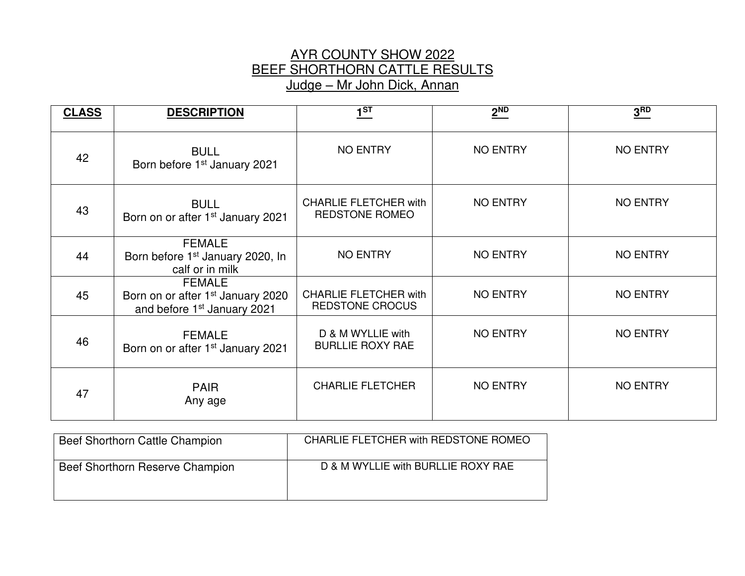## AYR COUNTY SHOW 2022 BEEF SHORTHORN CATTLE RESULTS Judge – Mr John Dick, Annan

| <b>CLASS</b> | <b>DESCRIPTION</b>                                                                                        | 1 <sup>ST</sup>                                        | $2^{ND}$        | 3 <sup>RD</sup> |
|--------------|-----------------------------------------------------------------------------------------------------------|--------------------------------------------------------|-----------------|-----------------|
| 42           | <b>BULL</b><br>Born before 1 <sup>st</sup> January 2021                                                   | <b>NO ENTRY</b>                                        | <b>NO ENTRY</b> | <b>NO ENTRY</b> |
| 43           | <b>BULL</b><br>Born on or after 1 <sup>st</sup> January 2021                                              | <b>CHARLIE FLETCHER with</b><br><b>REDSTONE ROMEO</b>  | NO ENTRY        | <b>NO ENTRY</b> |
| 44           | <b>FEMALE</b><br>Born before 1 <sup>st</sup> January 2020, In<br>calf or in milk                          | <b>NO ENTRY</b>                                        | <b>NO ENTRY</b> | <b>NO ENTRY</b> |
| 45           | <b>FEMALE</b><br>Born on or after 1 <sup>st</sup> January 2020<br>and before 1 <sup>st</sup> January 2021 | <b>CHARLIE FLETCHER with</b><br><b>REDSTONE CROCUS</b> | <b>NO ENTRY</b> | <b>NO ENTRY</b> |
| 46           | <b>FEMALE</b><br>Born on or after 1 <sup>st</sup> January 2021                                            | D & M WYLLIE with<br><b>BURLLIE ROXY RAE</b>           | <b>NO ENTRY</b> | <b>NO ENTRY</b> |
| 47           | <b>PAIR</b><br>Any age                                                                                    | <b>CHARLIE FLETCHER</b>                                | <b>NO ENTRY</b> | <b>NO ENTRY</b> |

| Beef Shorthorn Cattle Champion  | CHARLIE FLETCHER with REDSTONE ROMEO |
|---------------------------------|--------------------------------------|
| Beef Shorthorn Reserve Champion | D & M WYLLIE with BURLLIE ROXY RAE   |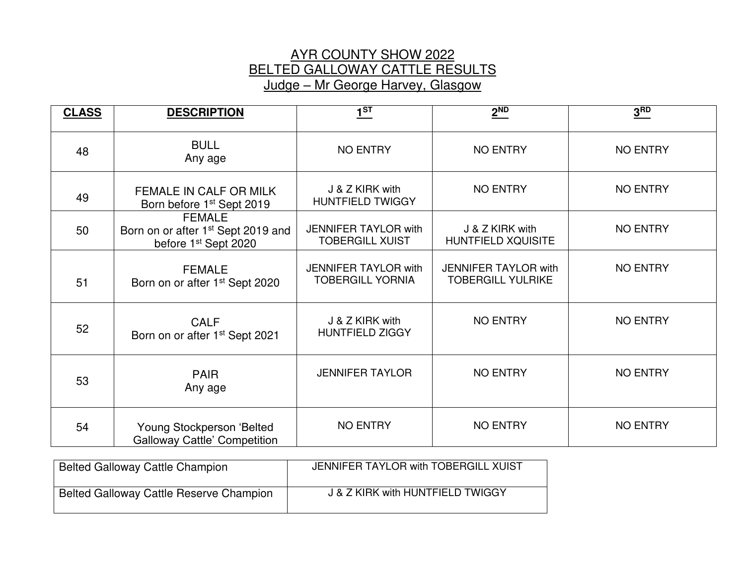#### AYR COUNTY SHOW 2022 BELTED GALLOWAY CATTLE RESULTS Judge – Mr George Harvey, Glasgow

| <b>CLASS</b> | <b>DESCRIPTION</b>                                                                                  | $1^{ST}$                                               | $2^{ND}$                                                | 3 <sup>RD</sup> |
|--------------|-----------------------------------------------------------------------------------------------------|--------------------------------------------------------|---------------------------------------------------------|-----------------|
| 48           | <b>BULL</b><br>Any age                                                                              | <b>NO ENTRY</b>                                        | <b>NO ENTRY</b>                                         | <b>NO ENTRY</b> |
| 49           | FEMALE IN CALF OR MILK<br>Born before 1 <sup>st</sup> Sept 2019                                     | J & Z KIRK with<br><b>HUNTFIELD TWIGGY</b>             | <b>NO ENTRY</b>                                         | <b>NO ENTRY</b> |
| 50           | <b>FEMALE</b><br>Born on or after 1 <sup>st</sup> Sept 2019 and<br>before 1 <sup>st</sup> Sept 2020 | <b>JENNIFER TAYLOR with</b><br><b>TOBERGILL XUIST</b>  | J & Z KIRK with<br>HUNTFIELD XQUISITE                   | <b>NO ENTRY</b> |
| 51           | <b>FEMALE</b><br>Born on or after 1 <sup>st</sup> Sept 2020                                         | <b>JENNIFER TAYLOR with</b><br><b>TOBERGILL YORNIA</b> | <b>JENNIFER TAYLOR with</b><br><b>TOBERGILL YULRIKE</b> | <b>NO ENTRY</b> |
| 52           | <b>CALF</b><br>Born on or after 1 <sup>st</sup> Sept 2021                                           | J & Z KIRK with<br><b>HUNTFIELD ZIGGY</b>              | <b>NO ENTRY</b>                                         | <b>NO ENTRY</b> |
| 53           | <b>PAIR</b><br>Any age                                                                              | <b>JENNIFER TAYLOR</b>                                 | <b>NO ENTRY</b>                                         | <b>NO ENTRY</b> |
| 54           | Young Stockperson 'Belted<br><b>Galloway Cattle' Competition</b>                                    | <b>NO ENTRY</b>                                        | <b>NO ENTRY</b>                                         | <b>NO ENTRY</b> |

| <b>Belted Galloway Cattle Champion</b>         | JENNIFER TAYLOR with TOBERGILL XUIST |
|------------------------------------------------|--------------------------------------|
| <b>Belted Galloway Cattle Reserve Champion</b> | J & Z KIRK with HUNTFIELD TWIGGY     |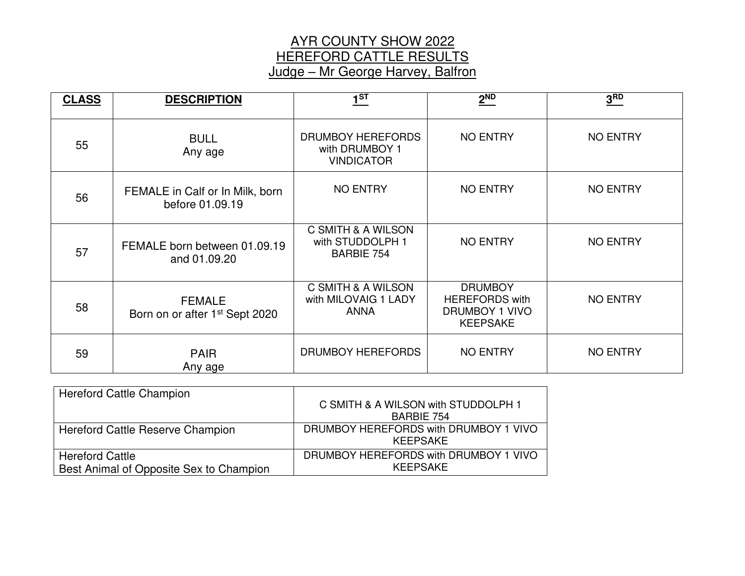## AYR COUNTY SHOW 2022 HEREFORD CATTLE RESULTS Judge – Mr George Harvey, Balfron

| <b>CLASS</b> | <b>DESCRIPTION</b>                                          | $1^{ST}$                                                    | 2 <sup>ND</sup>                                                                     | 3 <sup>RD</sup> |
|--------------|-------------------------------------------------------------|-------------------------------------------------------------|-------------------------------------------------------------------------------------|-----------------|
| 55           | <b>BULL</b><br>Any age                                      | DRUMBOY HEREFORDS<br>with DRUMBOY 1<br><b>VINDICATOR</b>    | <b>NO ENTRY</b>                                                                     | <b>NO ENTRY</b> |
| 56           | FEMALE in Calf or In Milk, born<br>before 01.09.19          | <b>NO ENTRY</b>                                             | <b>NO ENTRY</b>                                                                     | <b>NO ENTRY</b> |
| 57           | FEMALE born between 01.09.19<br>and 01.09.20                | C SMITH & A WILSON<br>with STUDDOLPH 1<br><b>BARBIE 754</b> | <b>NO ENTRY</b>                                                                     | <b>NO ENTRY</b> |
| 58           | <b>FEMALE</b><br>Born on or after 1 <sup>st</sup> Sept 2020 | C SMITH & A WILSON<br>with MILOVAIG 1 LADY<br><b>ANNA</b>   | <b>DRUMBOY</b><br><b>HEREFORDS with</b><br><b>DRUMBOY 1 VIVO</b><br><b>KEEPSAKE</b> | <b>NO ENTRY</b> |
| 59           | <b>PAIR</b><br>Any age                                      | DRUMBOY HEREFORDS                                           | <b>NO ENTRY</b>                                                                     | <b>NO ENTRY</b> |

| <b>Hereford Cattle Champion</b>         |                                                   |
|-----------------------------------------|---------------------------------------------------|
|                                         | C SMITH & A WILSON with STUDDOLPH 1               |
|                                         | <b>BARBIE 754</b>                                 |
| Hereford Cattle Reserve Champion        | DRUMBOY HEREFORDS with DRUMBOY 1 VIVO<br>KEEPSAKE |
| <b>Hereford Cattle</b>                  | DRUMBOY HEREFORDS with DRUMBOY 1 VIVO             |
| Best Animal of Opposite Sex to Champion | KEEPSAKE                                          |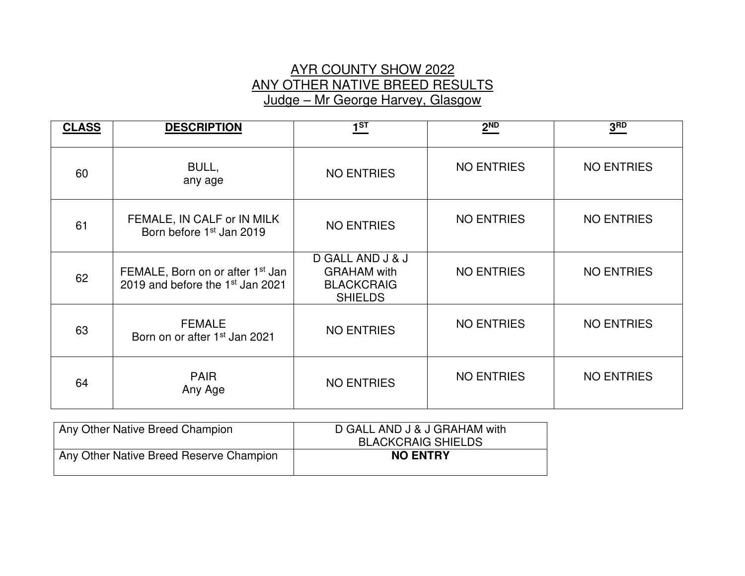# AYR COUNTY SHOW 2022 ANY OTHER NATIVE BREED RESULTS Judge – Mr George Harvey, Glasgow

| <b>CLASS</b> | <b>DESCRIPTION</b>                                                                           | $1^{ST}$                                                                      | $2^{ND}$          | 3 <sub>BD</sub>   |
|--------------|----------------------------------------------------------------------------------------------|-------------------------------------------------------------------------------|-------------------|-------------------|
| 60           | BULL,<br>any age                                                                             | <b>NO ENTRIES</b>                                                             | <b>NO ENTRIES</b> | <b>NO ENTRIES</b> |
| 61           | FEMALE, IN CALF or IN MILK<br>Born before 1 <sup>st</sup> Jan 2019                           | <b>NO ENTRIES</b>                                                             | <b>NO ENTRIES</b> | <b>NO ENTRIES</b> |
| 62           | FEMALE, Born on or after 1 <sup>st</sup> Jan<br>2019 and before the 1 <sup>st</sup> Jan 2021 | D GALL AND J & J<br><b>GRAHAM</b> with<br><b>BLACKCRAIG</b><br><b>SHIELDS</b> | <b>NO ENTRIES</b> | <b>NO ENTRIES</b> |
| 63           | <b>FEMALE</b><br>Born on or after 1 <sup>st</sup> Jan 2021                                   | <b>NO ENTRIES</b>                                                             | <b>NO ENTRIES</b> | <b>NO ENTRIES</b> |
| 64           | <b>PAIR</b><br>Any Age                                                                       | <b>NO ENTRIES</b>                                                             | <b>NO ENTRIES</b> | <b>NO ENTRIES</b> |

| Any Other Native Breed Champion         | D GALL AND J & J GRAHAM with<br><b>BLACKCRAIG SHIELDS</b> |
|-----------------------------------------|-----------------------------------------------------------|
| Any Other Native Breed Reserve Champion | <b>NO ENTRY</b>                                           |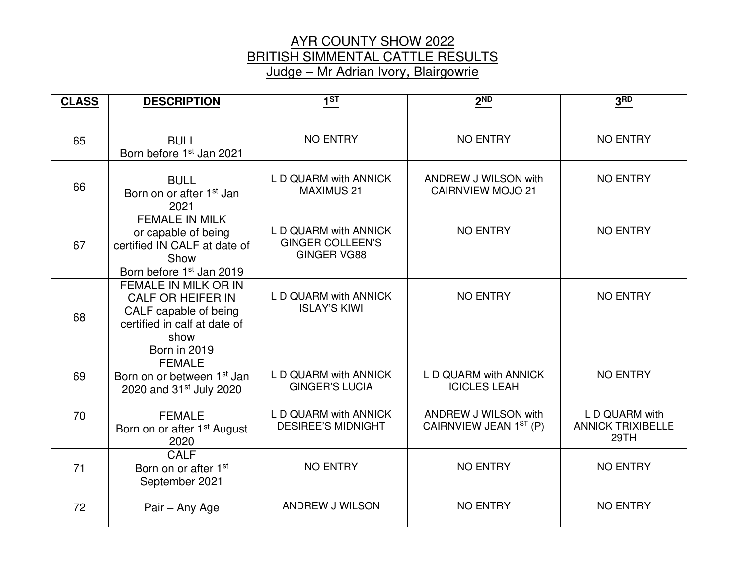#### AYR COUNTY SHOW 2022 BRITISH SIMMENTAL CATTLE RESULTS Judge – Mr Adrian Ivory, Blairgowrie

| <b>CLASS</b> | <b>DESCRIPTION</b>                                                                                                                              | $1^{ST}$                                                               | 2 <sup>ND</sup>                                         | 3 <sub>BD</sub>                                    |
|--------------|-------------------------------------------------------------------------------------------------------------------------------------------------|------------------------------------------------------------------------|---------------------------------------------------------|----------------------------------------------------|
| 65           | <b>BULL</b><br>Born before 1 <sup>st</sup> Jan 2021                                                                                             | <b>NO ENTRY</b>                                                        | <b>NO ENTRY</b>                                         | <b>NO ENTRY</b>                                    |
| 66           | <b>BULL</b><br>Born on or after 1 <sup>st</sup> Jan<br>2021                                                                                     | L D QUARM with ANNICK<br><b>MAXIMUS 21</b>                             | <b>ANDREW J WILSON with</b><br><b>CAIRNVIEW MOJO 21</b> | <b>NO ENTRY</b>                                    |
| 67           | <b>FEMALE IN MILK</b><br>or capable of being<br>certified IN CALF at date of<br>Show<br>Born before 1 <sup>st</sup> Jan 2019                    | L D QUARM with ANNICK<br><b>GINGER COLLEEN'S</b><br><b>GINGER VG88</b> | <b>NO ENTRY</b>                                         | <b>NO ENTRY</b>                                    |
| 68           | <b>FEMALE IN MILK OR IN</b><br><b>CALF OR HEIFER IN</b><br>CALF capable of being<br>certified in calf at date of<br>show<br><b>Born in 2019</b> | L D QUARM with ANNICK<br><b>ISLAY'S KIWI</b>                           | <b>NO ENTRY</b>                                         | <b>NO ENTRY</b>                                    |
| 69           | <b>FEMALE</b><br>Born on or between 1 <sup>st</sup> Jan<br>2020 and 31 <sup>st</sup> July 2020                                                  | L D QUARM with ANNICK<br><b>GINGER'S LUCIA</b>                         | L D QUARM with ANNICK<br><b>ICICLES LEAH</b>            | <b>NO ENTRY</b>                                    |
| 70           | <b>FEMALE</b><br>Born on or after 1 <sup>st</sup> August<br>2020                                                                                | L D QUARM with ANNICK<br><b>DESIREE'S MIDNIGHT</b>                     | ANDREW J WILSON with<br>CAIRNVIEW JEAN 1ST (P)          | L D QUARM with<br><b>ANNICK TRIXIBELLE</b><br>29TH |
| 71           | <b>CALF</b><br>Born on or after 1 <sup>st</sup><br>September 2021                                                                               | <b>NO ENTRY</b>                                                        | <b>NO ENTRY</b>                                         | <b>NO ENTRY</b>                                    |
| 72           | Pair - Any Age                                                                                                                                  | ANDREW J WILSON                                                        | <b>NO ENTRY</b>                                         | <b>NO ENTRY</b>                                    |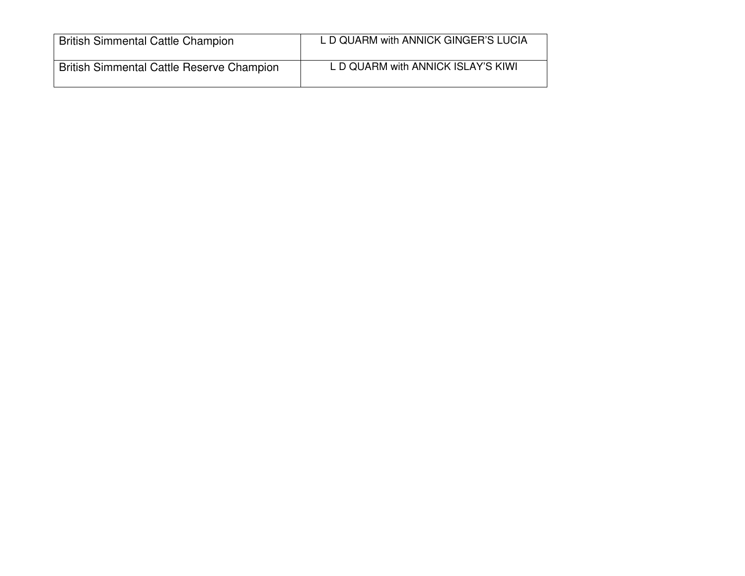| <b>British Simmental Cattle Champion</b>         | L D QUARM with ANNICK GINGER'S LUCIA |
|--------------------------------------------------|--------------------------------------|
| <b>British Simmental Cattle Reserve Champion</b> | L D QUARM with ANNICK ISLAY'S KIWI   |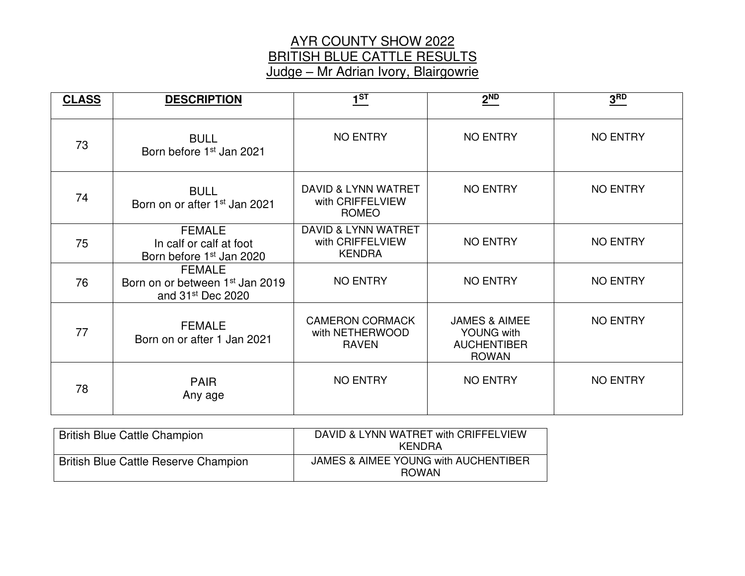## AYR COUNTY SHOW 2022 BRITISH BLUE CATTLE RESULTS Judge – Mr Adrian Ivory, Blairgowrie

| <b>CLASS</b> | <b>DESCRIPTION</b>                                                                            | 1 <sup>ST</sup>                                           | 2 <sup>ND</sup>                                                                     | 3 <sup>RD</sup> |
|--------------|-----------------------------------------------------------------------------------------------|-----------------------------------------------------------|-------------------------------------------------------------------------------------|-----------------|
| 73           | <b>BULL</b><br>Born before 1 <sup>st</sup> Jan 2021                                           | <b>NO ENTRY</b>                                           | <b>NO ENTRY</b>                                                                     | <b>NO ENTRY</b> |
| 74           | <b>BULL</b><br>Born on or after 1 <sup>st</sup> Jan 2021                                      | DAVID & LYNN WATRET<br>with CRIFFELVIEW<br><b>ROMEO</b>   | <b>NO ENTRY</b>                                                                     | <b>NO ENTRY</b> |
| 75           | <b>FEMALE</b><br>In calf or calf at foot<br>Born before 1 <sup>st</sup> Jan 2020              | DAVID & LYNN WATRET<br>with CRIFFELVIEW<br><b>KENDRA</b>  | <b>NO ENTRY</b>                                                                     | <b>NO ENTRY</b> |
| 76           | <b>FEMALE</b><br>Born on or between 1 <sup>st</sup> Jan 2019<br>and 31 <sup>st</sup> Dec 2020 | <b>NO ENTRY</b>                                           | <b>NO ENTRY</b>                                                                     | <b>NO ENTRY</b> |
| 77           | <b>FEMALE</b><br>Born on or after 1 Jan 2021                                                  | <b>CAMERON CORMACK</b><br>with NETHERWOOD<br><b>RAVEN</b> | <b>JAMES &amp; AIMEE</b><br><b>YOUNG with</b><br><b>AUCHENTIBER</b><br><b>ROWAN</b> | <b>NO ENTRY</b> |
| 78           | <b>PAIR</b><br>Any age                                                                        | <b>NO ENTRY</b>                                           | <b>NO ENTRY</b>                                                                     | <b>NO ENTRY</b> |

| <b>British Blue Cattle Champion</b>         | DAVID & LYNN WATRET with CRIFFELVIEW<br>KFNDRA       |
|---------------------------------------------|------------------------------------------------------|
| <b>British Blue Cattle Reserve Champion</b> | JAMES & AIMEE YOUNG with AUCHENTIBER<br><b>ROWAN</b> |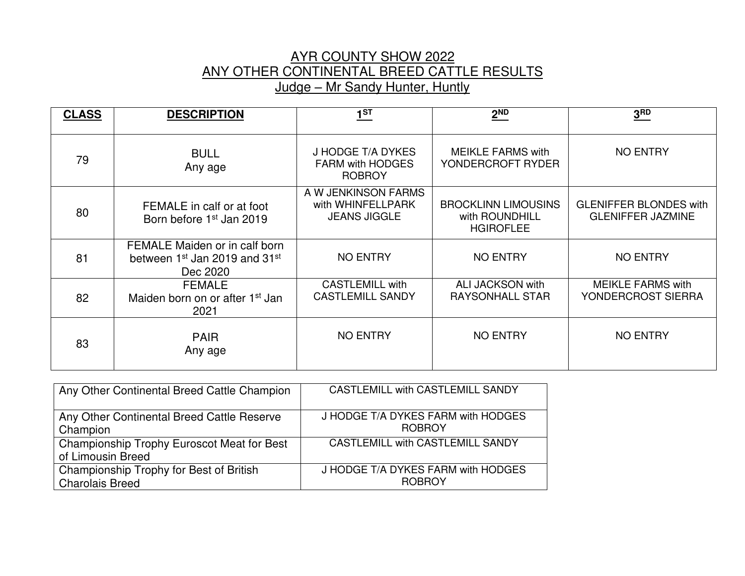# AYR COUNTY SHOW 2022 ANY OTHER CONTINENTAL BREED CATTLE RESULTS Judge – Mr Sandy Hunter, Huntly

| <b>CLASS</b> | <b>DESCRIPTION</b>                                                                                 | $1^{ST}$                                                        | 2 <sub>ND</sub>                                                  | 3 <sup>RD</sup>                                           |
|--------------|----------------------------------------------------------------------------------------------------|-----------------------------------------------------------------|------------------------------------------------------------------|-----------------------------------------------------------|
| 79           | <b>BULL</b><br>Any age                                                                             | J HODGE T/A DYKES<br><b>FARM with HODGES</b><br><b>ROBROY</b>   | <b>MEIKLE FARMS with</b><br>YONDERCROFT RYDER                    | <b>NO ENTRY</b>                                           |
| 80           | FEMALE in calf or at foot<br>Born before 1 <sup>st</sup> Jan 2019                                  | A W JENKINSON FARMS<br>with WHINFELLPARK<br><b>JEANS JIGGLE</b> | <b>BROCKLINN LIMOUSINS</b><br>with ROUNDHILL<br><b>HGIROFLEE</b> | <b>GLENIFFER BLONDES with</b><br><b>GLENIFFER JAZMINE</b> |
| 81           | FEMALE Maiden or in calf born<br>between 1 <sup>st</sup> Jan 2019 and 31 <sup>st</sup><br>Dec 2020 | <b>NO ENTRY</b>                                                 | <b>NO ENTRY</b>                                                  | <b>NO ENTRY</b>                                           |
| 82           | <b>FEMALE</b><br>Maiden born on or after 1 <sup>st</sup> Jan<br>2021                               | <b>CASTLEMILL with</b><br><b>CASTLEMILL SANDY</b>               | <b>ALI JACKSON with</b><br><b>RAYSONHALL STAR</b>                | <b>MEIKLE FARMS with</b><br>YONDERCROST SIERRA            |
| 83           | <b>PAIR</b><br>Any age                                                                             | <b>NO ENTRY</b>                                                 | <b>NO ENTRY</b>                                                  | <b>NO ENTRY</b>                                           |

| Any Other Continental Breed Cattle Champion                     | <b>CASTLEMILL with CASTLEMILL SANDY</b> |
|-----------------------------------------------------------------|-----------------------------------------|
| Any Other Continental Breed Cattle Reserve                      | J HODGE T/A DYKES FARM with HODGES      |
| Champion                                                        | <b>ROBROY</b>                           |
| Championship Trophy Euroscot Meat for Best<br>of Limousin Breed | CASTLEMILL with CASTLEMILL SANDY        |
| Championship Trophy for Best of British                         | J HODGE T/A DYKES FARM with HODGES      |
| <b>Charolais Breed</b>                                          | <b>ROBROY</b>                           |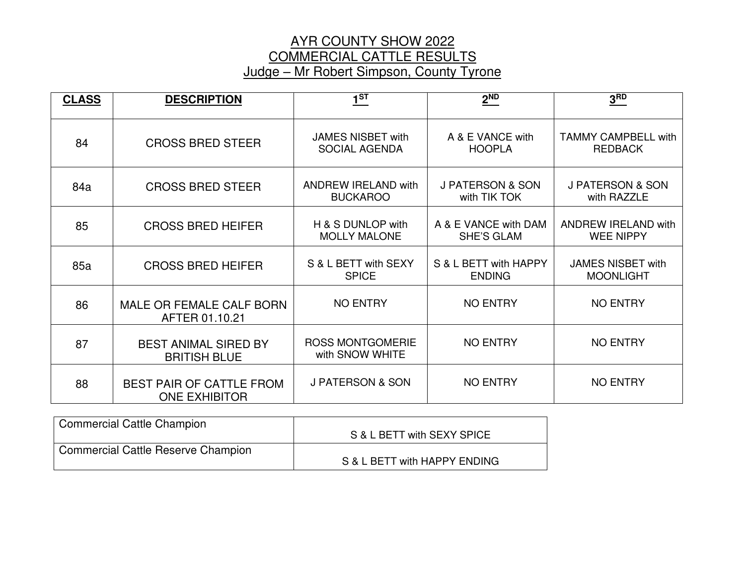## AYR COUNTY SHOW 2022 COMMERCIAL CATTLE RESULTS Judge – Mr Robert Simpson, County Tyrone

| <b>CLASS</b> | <b>DESCRIPTION</b>                                      | 1 <sup>ST</sup>                                  | $2^{ND}$                                    | 3 <sup>RD</sup>                                |
|--------------|---------------------------------------------------------|--------------------------------------------------|---------------------------------------------|------------------------------------------------|
| 84           | <b>CROSS BRED STEER</b>                                 | <b>JAMES NISBET with</b><br><b>SOCIAL AGENDA</b> | A & E VANCE with<br><b>HOOPLA</b>           | TAMMY CAMPBELL with<br><b>REDBACK</b>          |
| 84a          | <b>CROSS BRED STEER</b>                                 | <b>ANDREW IRELAND with</b><br><b>BUCKAROO</b>    | <b>J PATERSON &amp; SON</b><br>with TIK TOK | <b>J PATERSON &amp; SON</b><br>with RAZZLE     |
| 85           | <b>CROSS BRED HEIFER</b>                                | H & S DUNLOP with<br><b>MOLLY MALONE</b>         | A & E VANCE with DAM<br><b>SHE'S GLAM</b>   | <b>ANDREW IRELAND with</b><br><b>WEE NIPPY</b> |
| 85a          | <b>CROSS BRED HEIFER</b>                                | S & L BETT with SEXY<br><b>SPICE</b>             | S & L BETT with HAPPY<br><b>ENDING</b>      | <b>JAMES NISBET with</b><br><b>MOONLIGHT</b>   |
| 86           | MALE OR FEMALE CALF BORN<br>AFTER 01.10.21              | <b>NO ENTRY</b>                                  | <b>NO ENTRY</b>                             | <b>NO ENTRY</b>                                |
| 87           | <b>BEST ANIMAL SIRED BY</b><br><b>BRITISH BLUE</b>      | <b>ROSS MONTGOMERIE</b><br>with SNOW WHITE       | <b>NO ENTRY</b>                             | <b>NO ENTRY</b>                                |
| 88           | <b>BEST PAIR OF CATTLE FROM</b><br><b>ONE EXHIBITOR</b> | <b>J PATERSON &amp; SON</b>                      | <b>NO ENTRY</b>                             | <b>NO ENTRY</b>                                |

| <b>Commercial Cattle Champion</b>         | S & L BETT with SEXY SPICE   |
|-------------------------------------------|------------------------------|
| <b>Commercial Cattle Reserve Champion</b> | S & L BETT with HAPPY ENDING |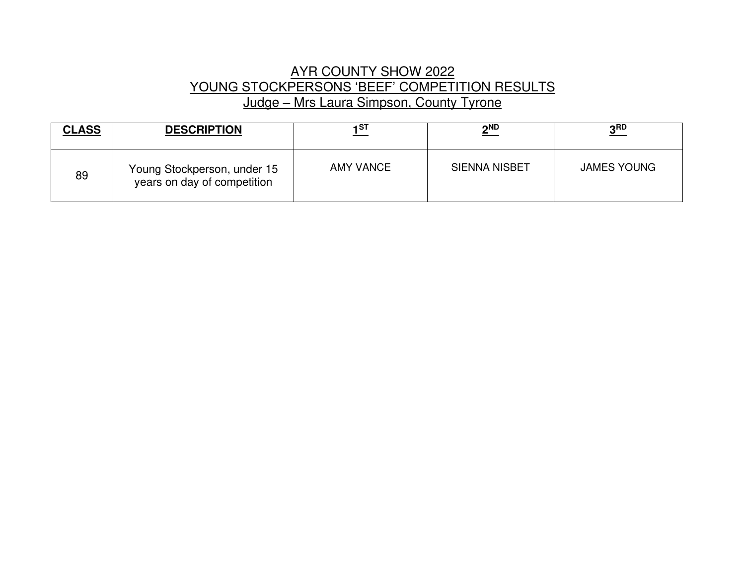# AYR COUNTY SHOW 2022 YOUNG STOCKPERSONS 'BEEF' COMPETITION RESULTS Judge – Mrs Laura Simpson, County Tyrone

| <b>CLASS</b> | <b>DESCRIPTION</b>                                         | 1 ST             | $2^{ND}$             | 3 <sup>RD</sup>    |
|--------------|------------------------------------------------------------|------------------|----------------------|--------------------|
| 89           | Young Stockperson, under 15<br>years on day of competition | <b>AMY VANCE</b> | <b>SIENNA NISBET</b> | <b>JAMES YOUNG</b> |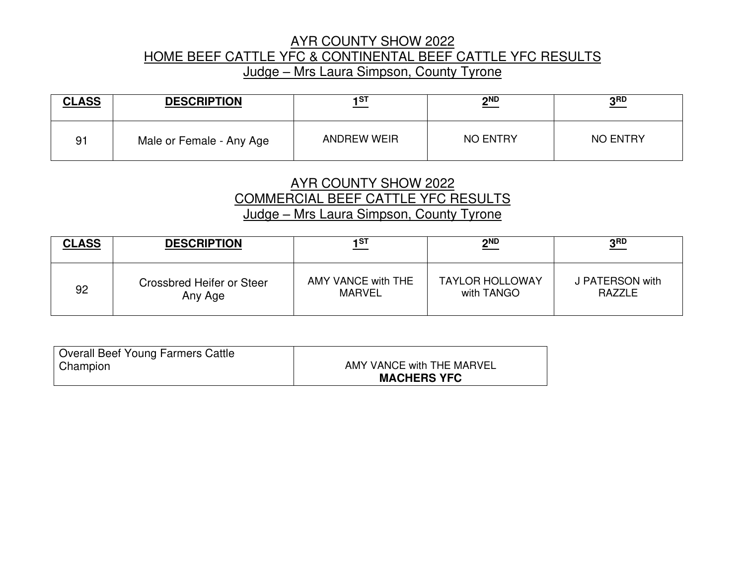## AYR COUNTY SHOW 2022 HOME BEEF CATTLE YFC & CONTINENTAL BEEF CATTLE YFC RESULTS Judge – Mrs Laura Simpson, County Tyrone

| <b>CLASS</b> | <b>DESCRIPTION</b>       | 1ST                | $\underline{\mathbf{2^{ND}}}$ | ? RD            |
|--------------|--------------------------|--------------------|-------------------------------|-----------------|
| 91           | Male or Female - Any Age | <b>ANDREW WEIR</b> | <b>NO ENTRY</b>               | <b>NO ENTRY</b> |

# AYR COUNTY SHOW 2022 COMMERCIAL BEEF CATTLE YFC RESULTS Judge – Mrs Laura Simpson, County Tyrone

| <b>CLASS</b> | <b>DESCRIPTION</b>        | 1ST                | $2^{ND}$               | 3 <sub>RD</sub> |
|--------------|---------------------------|--------------------|------------------------|-----------------|
| 92           | Crossbred Heifer or Steer | AMY VANCE with THE | <b>TAYLOR HOLLOWAY</b> | J PATERSON with |
|              | Any Age                   | <b>MARVEL</b>      | with TANGO             | <b>RAZZLE</b>   |

| Overall Beef Young Farmers Cattle |                           |
|-----------------------------------|---------------------------|
|                                   |                           |
| Champion                          | AMY VANCE with THE MARVEL |
|                                   | <b>MACHERS YFC</b>        |
|                                   |                           |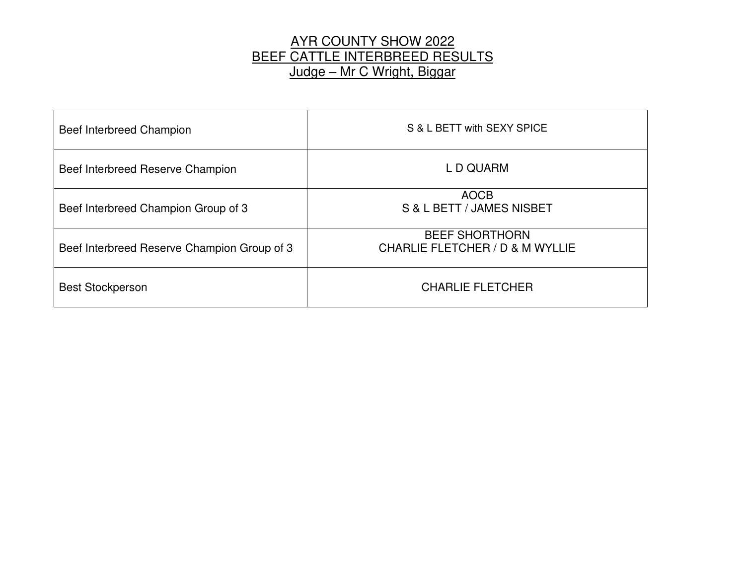# AYR COUNTY SHOW 2022 BEEF CATTLE INTERBREED RESULTS Judge – Mr C Wright, Biggar

| Beef Interbreed Champion                    | S & L BETT with SEXY SPICE                               |
|---------------------------------------------|----------------------------------------------------------|
| Beef Interbreed Reserve Champion            | L D QUARM                                                |
| Beef Interbreed Champion Group of 3         | <b>AOCB</b><br>S & L BETT / JAMES NISBET                 |
| Beef Interbreed Reserve Champion Group of 3 | <b>BEEF SHORTHORN</b><br>CHARLIE FLETCHER / D & M WYLLIE |
| <b>Best Stockperson</b>                     | <b>CHARLIE FLETCHER</b>                                  |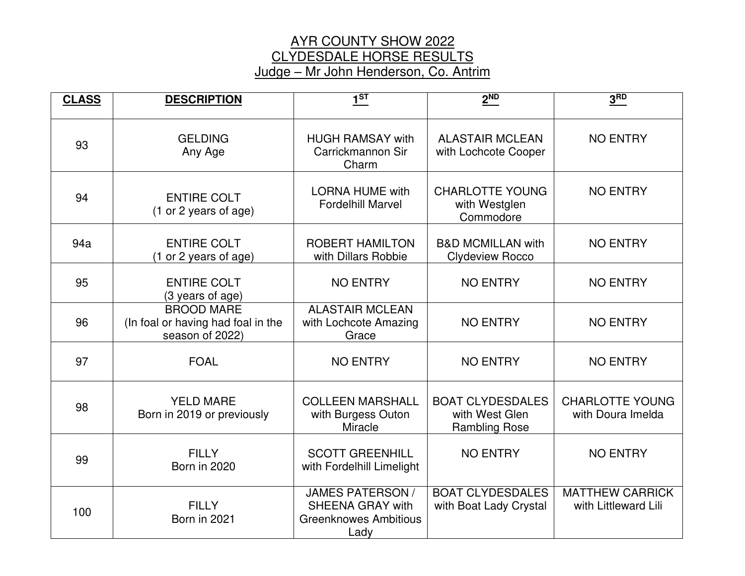# AYR COUNTY SHOW 2022 CLYDESDALE HORSE RESULTS Judge – Mr John Henderson, Co. Antrim

| <b>CLASS</b> | <b>DESCRIPTION</b>                                                         | 1 <sup>ST</sup>                                                                            | 2 <sup>ND</sup>                                                   | 3 <sub>RD</sub>                                |
|--------------|----------------------------------------------------------------------------|--------------------------------------------------------------------------------------------|-------------------------------------------------------------------|------------------------------------------------|
| 93           | <b>GELDING</b><br>Any Age                                                  | <b>HUGH RAMSAY with</b><br>Carrickmannon Sir<br>Charm                                      | <b>ALASTAIR MCLEAN</b><br>with Lochcote Cooper                    | <b>NO ENTRY</b>                                |
| 94           | <b>ENTIRE COLT</b><br>(1 or 2 years of age)                                | <b>LORNA HUME with</b><br><b>Fordelhill Marvel</b>                                         | <b>CHARLOTTE YOUNG</b><br>with Westglen<br>Commodore              | <b>NO ENTRY</b>                                |
| 94a          | <b>ENTIRE COLT</b><br>(1 or 2 years of age)                                | <b>ROBERT HAMILTON</b><br>with Dillars Robbie                                              | <b>B&amp;D MCMILLAN with</b><br><b>Clydeview Rocco</b>            | <b>NO ENTRY</b>                                |
| 95           | <b>ENTIRE COLT</b><br>(3 years of age)                                     | <b>NO ENTRY</b>                                                                            | <b>NO ENTRY</b>                                                   | <b>NO ENTRY</b>                                |
| 96           | <b>BROOD MARE</b><br>(In foal or having had foal in the<br>season of 2022) | <b>ALASTAIR MCLEAN</b><br>with Lochcote Amazing<br>Grace                                   | <b>NO ENTRY</b>                                                   | <b>NO ENTRY</b>                                |
| 97           | <b>FOAL</b>                                                                | <b>NO ENTRY</b>                                                                            | <b>NO ENTRY</b>                                                   | <b>NO ENTRY</b>                                |
| 98           | <b>YELD MARE</b><br>Born in 2019 or previously                             | <b>COLLEEN MARSHALL</b><br>with Burgess Outon<br>Miracle                                   | <b>BOAT CLYDESDALES</b><br>with West Glen<br><b>Rambling Rose</b> | <b>CHARLOTTE YOUNG</b><br>with Doura Imelda    |
| 99           | <b>FILLY</b><br>Born in 2020                                               | <b>SCOTT GREENHILL</b><br>with Fordelhill Limelight                                        | <b>NO ENTRY</b>                                                   | <b>NO ENTRY</b>                                |
| 100          | <b>FILLY</b><br>Born in 2021                                               | <b>JAMES PATERSON /</b><br><b>SHEENA GRAY with</b><br><b>Greenknowes Ambitious</b><br>Lady | <b>BOAT CLYDESDALES</b><br>with Boat Lady Crystal                 | <b>MATTHEW CARRICK</b><br>with Littleward Lili |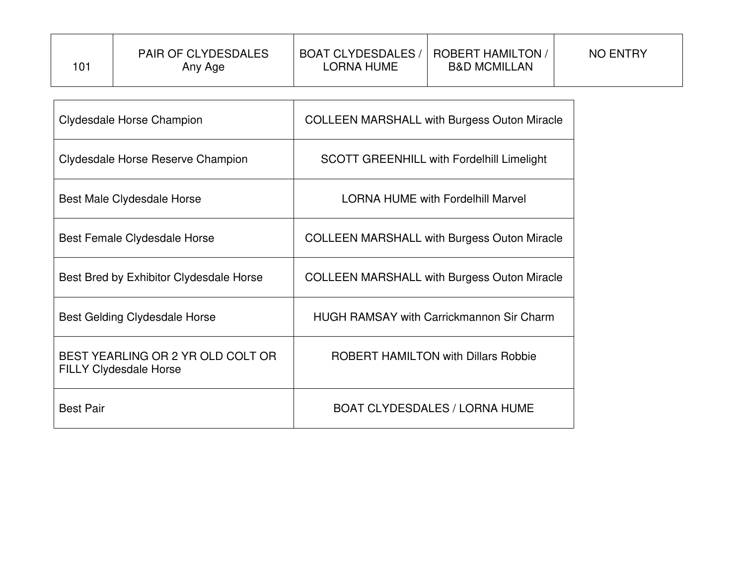| 101 | <b>PAIR OF CLYDESDALES</b><br>Any Age | <b>BOAT CLYDESDALES /</b><br>LORNA HUME | <b>ROBERT HAMILTON</b><br><b>B&amp;D MCMILLAN</b> | <b>NO ENTRY</b> |
|-----|---------------------------------------|-----------------------------------------|---------------------------------------------------|-----------------|
|     |                                       |                                         |                                                   |                 |

| Clydesdale Horse Champion                                          | <b>COLLEEN MARSHALL with Burgess Outon Miracle</b> |
|--------------------------------------------------------------------|----------------------------------------------------|
| Clydesdale Horse Reserve Champion                                  | <b>SCOTT GREENHILL with Fordelhill Limelight</b>   |
| Best Male Clydesdale Horse                                         | <b>LORNA HUME with Fordelhill Marvel</b>           |
| Best Female Clydesdale Horse                                       | <b>COLLEEN MARSHALL with Burgess Outon Miracle</b> |
| Best Bred by Exhibitor Clydesdale Horse                            | <b>COLLEEN MARSHALL with Burgess Outon Miracle</b> |
| Best Gelding Clydesdale Horse                                      | <b>HUGH RAMSAY with Carrickmannon Sir Charm</b>    |
| BEST YEARLING OR 2 YR OLD COLT OR<br><b>FILLY Clydesdale Horse</b> | <b>ROBERT HAMILTON with Dillars Robbie</b>         |
| <b>Best Pair</b>                                                   | <b>BOAT CLYDESDALES / LORNA HUME</b>               |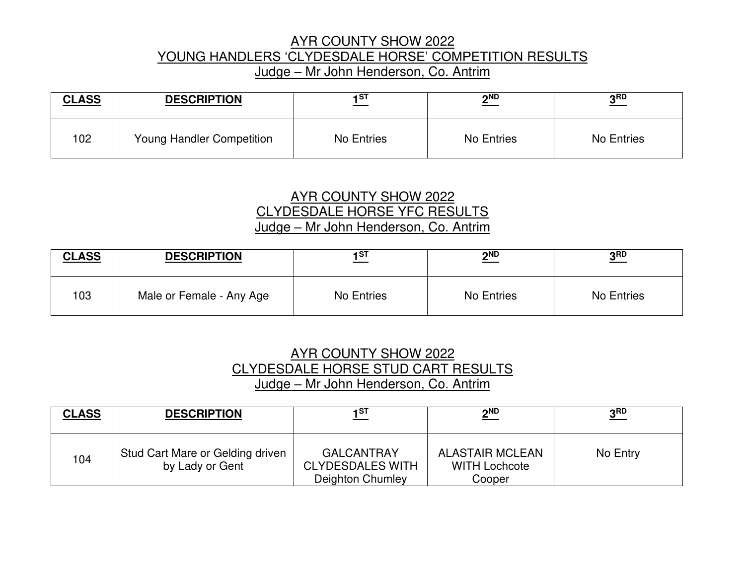## AYR COUNTY SHOW 2022 YOUNG HANDLERS 'CLYDESDALE HORSE' COMPETITION RESULTS Judge – Mr John Henderson, Co. Antrim

| <b>CLASS</b> | <b>DESCRIPTION</b>        | 1ST        | <b>OND</b><br><u>_</u> | 2RD        |
|--------------|---------------------------|------------|------------------------|------------|
| 102          | Young Handler Competition | No Entries | No Entries             | No Entries |

#### AYR COUNTY SHOW 2022 CLYDESDALE HORSE YFC RESULTS Judge – Mr John Henderson, Co. Antrim

| <b>CLASS</b> | <b>DESCRIPTION</b>       | 1ST        | $2^{ND}$   | ? RD       |
|--------------|--------------------------|------------|------------|------------|
| 103          | Male or Female - Any Age | No Entries | No Entries | No Entries |

# AYR COUNTY SHOW 2022 CLYDESDALE HORSE STUD CART RESULTS Judge – Mr John Henderson, Co. Antrim

| <b>CLASS</b> | <b>DESCRIPTION</b>                                  | 1ST                                                              | $2^{ND}$                                                 | 3 <sub>BD</sub> |
|--------------|-----------------------------------------------------|------------------------------------------------------------------|----------------------------------------------------------|-----------------|
| 104          | Stud Cart Mare or Gelding driven<br>by Lady or Gent | <b>GALCANTRAY</b><br><b>CLYDESDALES WITH</b><br>Deighton Chumley | <b>ALASTAIR MCLEAN</b><br><b>WITH Lochcote</b><br>Cooper | No Entry        |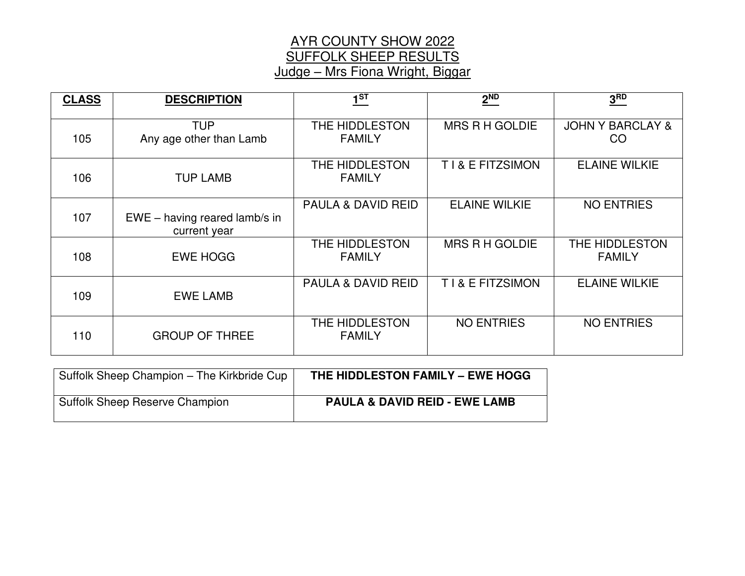# AYR COUNTY SHOW 2022 SUFFOLK SHEEP RESULTS Judge – Mrs Fiona Wright, Biggar

| <b>CLASS</b> | <b>DESCRIPTION</b>                              | 1 <sup>ST</sup>                 | 2 <sup>ND</sup>       | 3 <sup>RD</sup>                   |
|--------------|-------------------------------------------------|---------------------------------|-----------------------|-----------------------------------|
| 105          | <b>TUP</b><br>Any age other than Lamb           | THE HIDDLESTON<br><b>FAMILY</b> | <b>MRS R H GOLDIE</b> | <b>JOHN Y BARCLAY &amp;</b><br>CO |
| 106          | <b>TUP LAMB</b>                                 | THE HIDDLESTON<br><b>FAMILY</b> | T I & E FITZSIMON     | <b>ELAINE WILKIE</b>              |
| 107          | $EWE - having reared$ lamb/s in<br>current year | <b>PAULA &amp; DAVID REID</b>   | <b>ELAINE WILKIE</b>  | <b>NO ENTRIES</b>                 |
| 108          | <b>EWE HOGG</b>                                 | THE HIDDLESTON<br><b>FAMILY</b> | <b>MRS R H GOLDIE</b> | THE HIDDLESTON<br><b>FAMILY</b>   |
| 109          | <b>EWE LAMB</b>                                 | <b>PAULA &amp; DAVID REID</b>   | T I & E FITZSIMON     | <b>ELAINE WILKIE</b>              |
| 110          | <b>GROUP OF THREE</b>                           | THE HIDDLESTON<br><b>FAMILY</b> | <b>NO ENTRIES</b>     | <b>NO ENTRIES</b>                 |

| Suffolk Sheep Champion - The Kirkbride Cup | THE HIDDLESTON FAMILY - EWE HOGG         |
|--------------------------------------------|------------------------------------------|
| <b>Suffolk Sheep Reserve Champion</b>      | <b>PAULA &amp; DAVID REID - EWE LAMB</b> |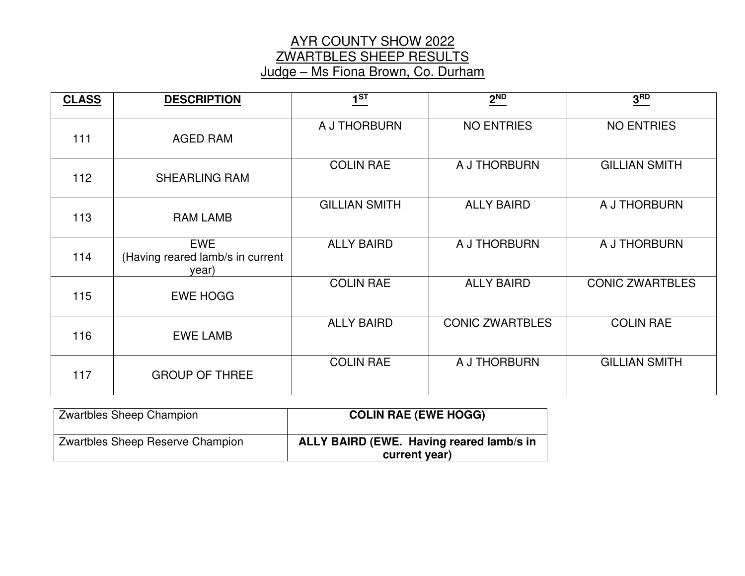## AYR COUNTY SHOW 2022 ZWARTBLES SHEEP RESULTS Judge – Ms Fiona Brown, Co. Durham

| <b>CLASS</b> | <b>DESCRIPTION</b>                                      | 1 <sup>ST</sup>      | 2 <sup>ND</sup>        | 3 <sup>RD</sup>        |
|--------------|---------------------------------------------------------|----------------------|------------------------|------------------------|
| 111          | <b>AGED RAM</b>                                         | A J THORBURN         | <b>NO ENTRIES</b>      | <b>NO ENTRIES</b>      |
| 112          | <b>SHEARLING RAM</b>                                    | <b>COLIN RAE</b>     | A J THORBURN           | <b>GILLIAN SMITH</b>   |
| 113          | <b>RAM LAMB</b>                                         | <b>GILLIAN SMITH</b> | <b>ALLY BAIRD</b>      | A J THORBURN           |
| 114          | <b>EWE</b><br>(Having reared lamb/s in current<br>year) | <b>ALLY BAIRD</b>    | A J THORBURN           | A J THORBURN           |
| 115          | <b>EWE HOGG</b>                                         | <b>COLIN RAE</b>     | <b>ALLY BAIRD</b>      | <b>CONIC ZWARTBLES</b> |
| 116          | <b>EWE LAMB</b>                                         | <b>ALLY BAIRD</b>    | <b>CONIC ZWARTBLES</b> | <b>COLIN RAE</b>       |
| 117          | <b>GROUP OF THREE</b>                                   | <b>COLIN RAE</b>     | A J THORBURN           | <b>GILLIAN SMITH</b>   |

| Zwartbles Sheep Champion         | <b>COLIN RAE (EWE HOGG)</b>                               |
|----------------------------------|-----------------------------------------------------------|
| Zwartbles Sheep Reserve Champion | ALLY BAIRD (EWE. Having reared lamb/s in<br>current year) |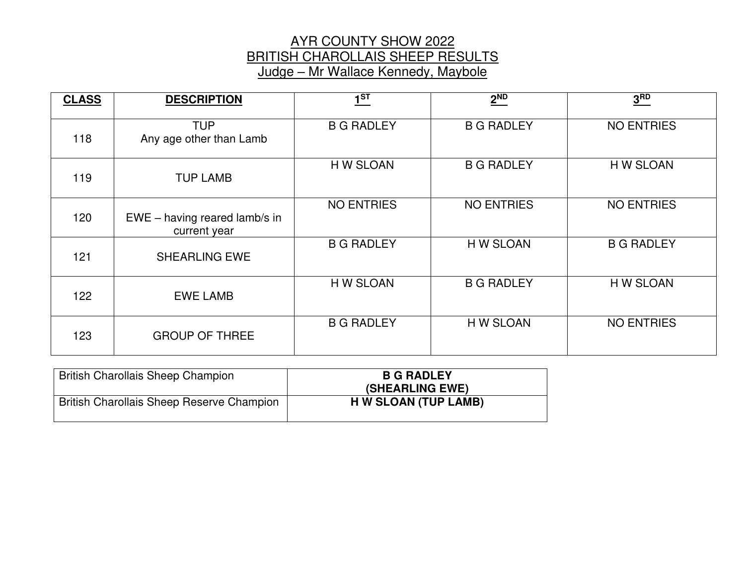## AYR COUNTY SHOW 2022 BRITISH CHAROLLAIS SHEEP RESULTS Judge – Mr Wallace Kennedy, Maybole

| <b>CLASS</b> | <b>DESCRIPTION</b>                            | 1 <sup>ST</sup>   | $2^{ND}$          | 3 <sup>RD</sup>   |
|--------------|-----------------------------------------------|-------------------|-------------------|-------------------|
| 118          | <b>TUP</b><br>Any age other than Lamb         | <b>B G RADLEY</b> | <b>B G RADLEY</b> | <b>NO ENTRIES</b> |
| 119          | <b>TUP LAMB</b>                               | H W SLOAN         | <b>B G RADLEY</b> | H W SLOAN         |
| 120          | EWE - having reared lamb/s in<br>current year | <b>NO ENTRIES</b> | <b>NO ENTRIES</b> | <b>NO ENTRIES</b> |
| 121          | <b>SHEARLING EWE</b>                          | <b>B G RADLEY</b> | H W SLOAN         | <b>B G RADLEY</b> |
| 122          | <b>EWE LAMB</b>                               | H W SLOAN         | <b>B G RADLEY</b> | H W SLOAN         |
| 123          | <b>GROUP OF THREE</b>                         | <b>B G RADLEY</b> | H W SLOAN         | <b>NO ENTRIES</b> |

| <b>British Charollais Sheep Champion</b>  | <b>B G RADLEY</b><br>(SHEARLING EWE) |
|-------------------------------------------|--------------------------------------|
| British Charollais Sheep Reserve Champion | H W SLOAN (TUP LAMB)                 |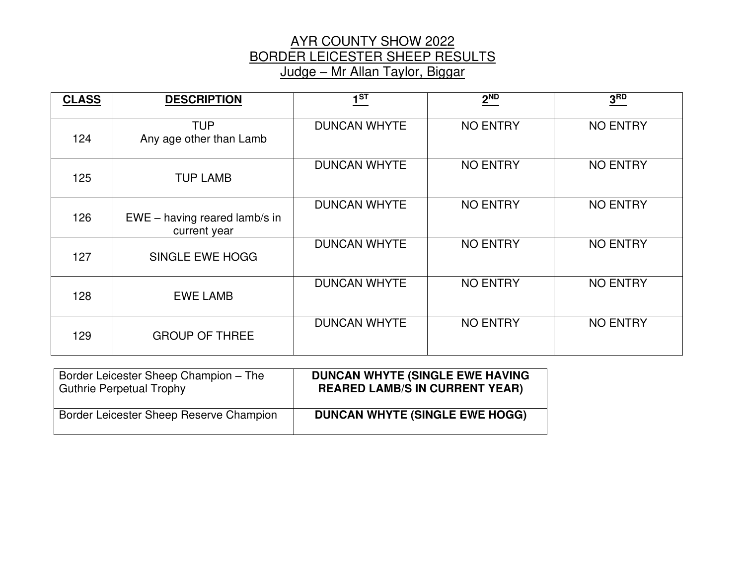#### AYR COUNTY SHOW 2022 BORDER LEICESTER SHEEP RESULTS Judge – Mr Allan Taylor, Biggar

| <b>CLASS</b> | <b>DESCRIPTION</b>                              | 1 <sup>ST</sup>     | 2 <sup>ND</sup> | 3 <sup>RD</sup> |
|--------------|-------------------------------------------------|---------------------|-----------------|-----------------|
| 124          | <b>TUP</b><br>Any age other than Lamb           | <b>DUNCAN WHYTE</b> | <b>NO ENTRY</b> | <b>NO ENTRY</b> |
| 125          | <b>TUP LAMB</b>                                 | <b>DUNCAN WHYTE</b> | <b>NO ENTRY</b> | <b>NO ENTRY</b> |
| 126          | $EWE - having reared$ lamb/s in<br>current year | <b>DUNCAN WHYTE</b> | <b>NO ENTRY</b> | <b>NO ENTRY</b> |
| 127          | <b>SINGLE EWE HOGG</b>                          | <b>DUNCAN WHYTE</b> | <b>NO ENTRY</b> | <b>NO ENTRY</b> |
| 128          | <b>EWE LAMB</b>                                 | <b>DUNCAN WHYTE</b> | <b>NO ENTRY</b> | <b>NO ENTRY</b> |
| 129          | <b>GROUP OF THREE</b>                           | <b>DUNCAN WHYTE</b> | <b>NO ENTRY</b> | <b>NO ENTRY</b> |

| Border Leicester Sheep Champion - The   | <b>DUNCAN WHYTE (SINGLE EWE HAVING</b> |
|-----------------------------------------|----------------------------------------|
| <b>Guthrie Perpetual Trophy</b>         | <b>REARED LAMB/S IN CURRENT YEAR)</b>  |
| Border Leicester Sheep Reserve Champion | <b>DUNCAN WHYTE (SINGLE EWE HOGG)</b>  |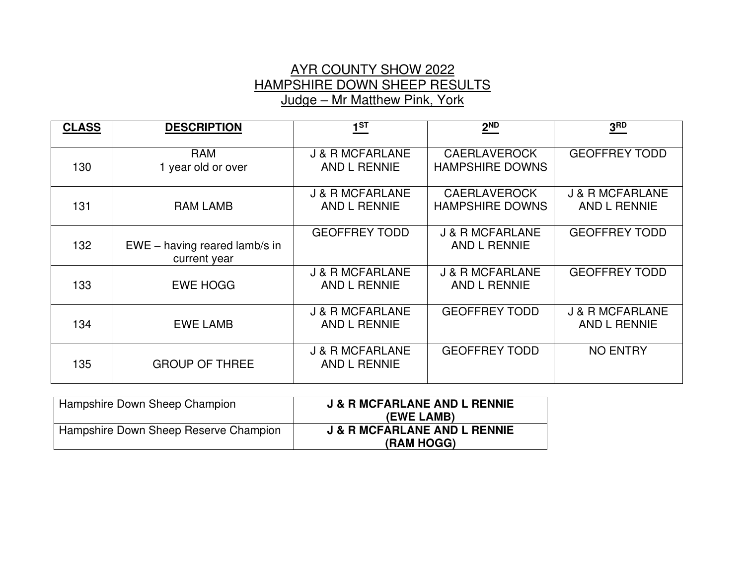## AYR COUNTY SHOW 2022 HAMPSHIRE DOWN SHEEP RESULTS Judge – Mr Matthew Pink, York

| <b>CLASS</b> | <b>DESCRIPTION</b>                              | $\underline{\mathbf{1}^{\text{ST}}}$              | $2^{ND}$                                      | 3 <sup>RD</sup>                                   |
|--------------|-------------------------------------------------|---------------------------------------------------|-----------------------------------------------|---------------------------------------------------|
| 130          | <b>RAM</b><br>1 year old or over                | <b>J &amp; R MCFARLANE</b><br><b>AND L RENNIE</b> | <b>CAERLAVEROCK</b><br><b>HAMPSHIRE DOWNS</b> | <b>GEOFFREY TODD</b>                              |
| 131          | <b>RAM LAMB</b>                                 | <b>J &amp; R MCFARLANE</b><br><b>AND L RENNIE</b> | <b>CAERLAVEROCK</b><br><b>HAMPSHIRE DOWNS</b> | <b>J &amp; R MCFARLANE</b><br>AND L RENNIE        |
| 132          | $EWE - having reared$ lamb/s in<br>current year | <b>GEOFFREY TODD</b>                              | <b>J &amp; R MCFARLANE</b><br>AND L RENNIE    | <b>GEOFFREY TODD</b>                              |
| 133          | <b>EWE HOGG</b>                                 | J & R MCFARLANE<br><b>AND L RENNIE</b>            | <b>J &amp; R MCFARLANE</b><br>AND L RENNIE    | <b>GEOFFREY TODD</b>                              |
| 134          | <b>EWE LAMB</b>                                 | <b>J &amp; R MCFARLANE</b><br><b>AND L RENNIE</b> | <b>GEOFFREY TODD</b>                          | <b>J &amp; R MCFARLANE</b><br><b>AND L RENNIE</b> |
| 135          | <b>GROUP OF THREE</b>                           | <b>J &amp; R MCFARLANE</b><br>AND L RENNIE        | <b>GEOFFREY TODD</b>                          | <b>NO ENTRY</b>                                   |

| Hampshire Down Sheep Champion         | <b>J &amp; R MCFARLANE AND L RENNIE</b><br>(EWE LAMB) |
|---------------------------------------|-------------------------------------------------------|
| Hampshire Down Sheep Reserve Champion | <b>J &amp; R MCFARLANE AND L RENNIE</b><br>(RAM HOGG) |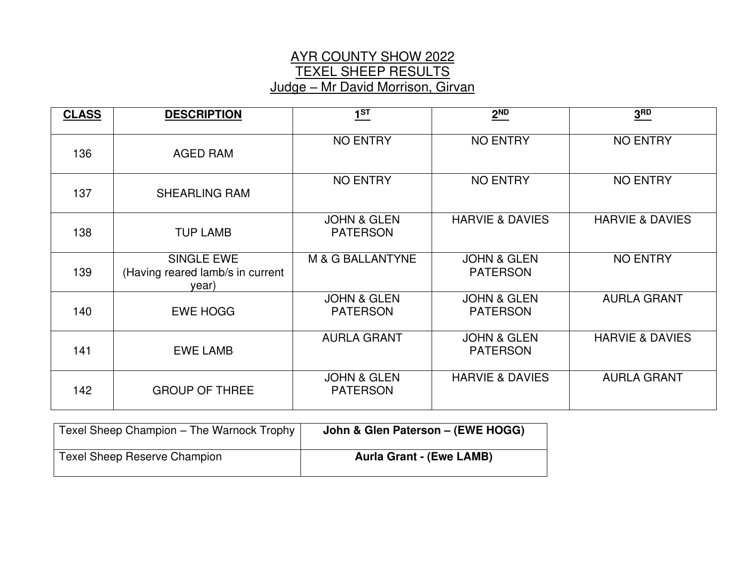## AYR COUNTY SHOW 2022 TEXEL SHEEP RESULTS Judge – Mr David Morrison, Girvan

| <b>CLASS</b> | <b>DESCRIPTION</b>                                             | 1 <sup>ST</sup>                           | 2 <sup>ND</sup>                           | 3 <sub>BD</sub>            |
|--------------|----------------------------------------------------------------|-------------------------------------------|-------------------------------------------|----------------------------|
| 136          | <b>AGED RAM</b>                                                | <b>NO ENTRY</b>                           | <b>NO ENTRY</b>                           | <b>NO ENTRY</b>            |
| 137          | <b>SHEARLING RAM</b>                                           | <b>NO ENTRY</b>                           | <b>NO ENTRY</b>                           | <b>NO ENTRY</b>            |
| 138          | <b>TUP LAMB</b>                                                | <b>JOHN &amp; GLEN</b><br><b>PATERSON</b> | <b>HARVIE &amp; DAVIES</b>                | <b>HARVIE &amp; DAVIES</b> |
| 139          | <b>SINGLE EWE</b><br>(Having reared lamb/s in current<br>year) | <b>M &amp; G BALLANTYNE</b>               | <b>JOHN &amp; GLEN</b><br><b>PATERSON</b> | <b>NO ENTRY</b>            |
| 140          | <b>EWE HOGG</b>                                                | <b>JOHN &amp; GLEN</b><br><b>PATERSON</b> | <b>JOHN &amp; GLEN</b><br><b>PATERSON</b> | <b>AURLA GRANT</b>         |
| 141          | <b>EWE LAMB</b>                                                | <b>AURLA GRANT</b>                        | <b>JOHN &amp; GLEN</b><br><b>PATERSON</b> | <b>HARVIE &amp; DAVIES</b> |
| 142          | <b>GROUP OF THREE</b>                                          | <b>JOHN &amp; GLEN</b><br><b>PATERSON</b> | <b>HARVIE &amp; DAVIES</b>                | <b>AURLA GRANT</b>         |

| Texel Sheep Champion - The Warnock Trophy | John & Glen Paterson - (EWE HOGG) |
|-------------------------------------------|-----------------------------------|
| <b>Texel Sheep Reserve Champion</b>       | <b>Aurla Grant - (Ewe LAMB)</b>   |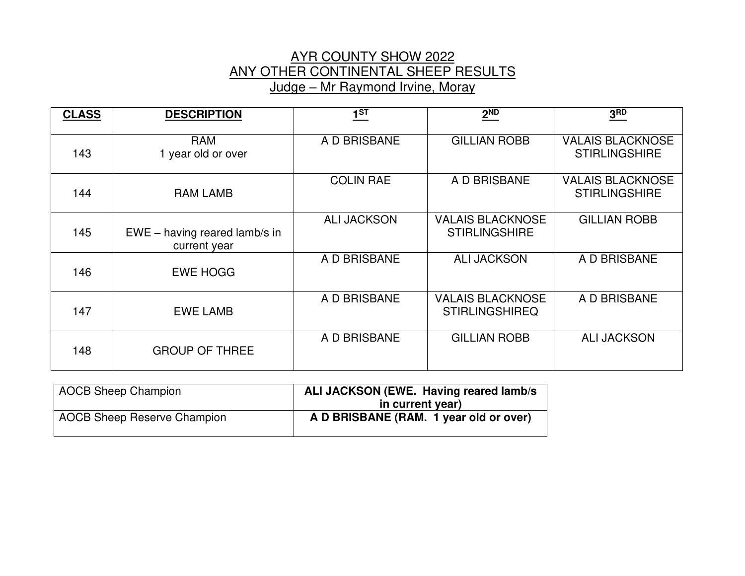#### AYR COUNTY SHOW 2022 ANY OTHER CONTINENTAL SHEEP RESULTS Judge – Mr Raymond Irvine, Moray

| <b>CLASS</b> | <b>DESCRIPTION</b>                            | 1 <sup>ST</sup>    | $2^{ND}$                                         | 3 <sup>RD</sup>                                 |
|--------------|-----------------------------------------------|--------------------|--------------------------------------------------|-------------------------------------------------|
| 143          | <b>RAM</b><br>1 year old or over              | A D BRISBANE       | <b>GILLIAN ROBB</b>                              | <b>VALAIS BLACKNOSE</b><br><b>STIRLINGSHIRE</b> |
| 144          | <b>RAM LAMB</b>                               | <b>COLIN RAE</b>   | A D BRISBANE                                     | <b>VALAIS BLACKNOSE</b><br><b>STIRLINGSHIRE</b> |
| 145          | EWE - having reared lamb/s in<br>current year | <b>ALI JACKSON</b> | <b>VALAIS BLACKNOSE</b><br><b>STIRLINGSHIRE</b>  | <b>GILLIAN ROBB</b>                             |
| 146          | <b>EWE HOGG</b>                               | A D BRISBANE       | <b>ALI JACKSON</b>                               | A D BRISBANE                                    |
| 147          | <b>EWE LAMB</b>                               | A D BRISBANE       | <b>VALAIS BLACKNOSE</b><br><b>STIRLINGSHIREQ</b> | A D BRISBANE                                    |
| 148          | <b>GROUP OF THREE</b>                         | A D BRISBANE       | <b>GILLIAN ROBB</b>                              | <b>ALI JACKSON</b>                              |

| <b>AOCB Sheep Champion</b>         | ALI JACKSON (EWE. Having reared lamb/s) |
|------------------------------------|-----------------------------------------|
|                                    | in current year)                        |
| <b>AOCB Sheep Reserve Champion</b> | A D BRISBANE (RAM. 1 year old or over)  |
|                                    |                                         |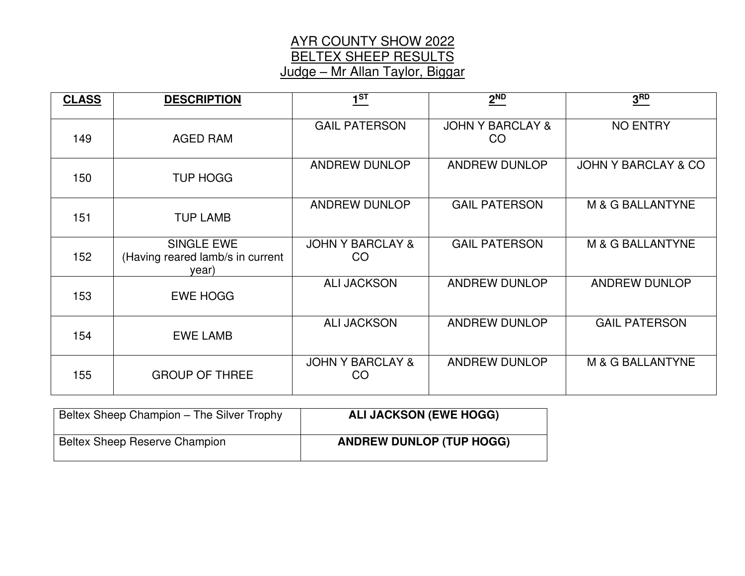# AYR COUNTY SHOW 2022 BELTEX SHEEP RESULTS Judge – Mr Allan Taylor, Biggar

| <b>CLASS</b> | <b>DESCRIPTION</b>                                             | 1 <sup>ST</sup>                   | 2 <sup>ND</sup>                   | 3 <sup>RD</sup>                |
|--------------|----------------------------------------------------------------|-----------------------------------|-----------------------------------|--------------------------------|
| 149          | AGED RAM                                                       | <b>GAIL PATERSON</b>              | <b>JOHN Y BARCLAY &amp;</b><br>CO | <b>NO ENTRY</b>                |
| 150          | <b>TUP HOGG</b>                                                | <b>ANDREW DUNLOP</b>              | ANDREW DUNLOP                     | <b>JOHN Y BARCLAY &amp; CO</b> |
| 151          | <b>TUP LAMB</b>                                                | <b>ANDREW DUNLOP</b>              | <b>GAIL PATERSON</b>              | M & G BALLANTYNE               |
| 152          | <b>SINGLE EWE</b><br>(Having reared lamb/s in current<br>year) | <b>JOHN Y BARCLAY &amp;</b><br>CO | <b>GAIL PATERSON</b>              | M & G BALLANTYNE               |
| 153          | <b>EWE HOGG</b>                                                | <b>ALI JACKSON</b>                | <b>ANDREW DUNLOP</b>              | <b>ANDREW DUNLOP</b>           |
| 154          | <b>EWE LAMB</b>                                                | <b>ALI JACKSON</b>                | <b>ANDREW DUNLOP</b>              | <b>GAIL PATERSON</b>           |
| 155          | <b>GROUP OF THREE</b>                                          | <b>JOHN Y BARCLAY &amp;</b><br>CO | <b>ANDREW DUNLOP</b>              | M & G BALLANTYNE               |

| Beltex Sheep Champion - The Silver Trophy | <b>ALI JACKSON (EWE HOGG)</b>   |
|-------------------------------------------|---------------------------------|
| <b>Beltex Sheep Reserve Champion</b>      | <b>ANDREW DUNLOP (TUP HOGG)</b> |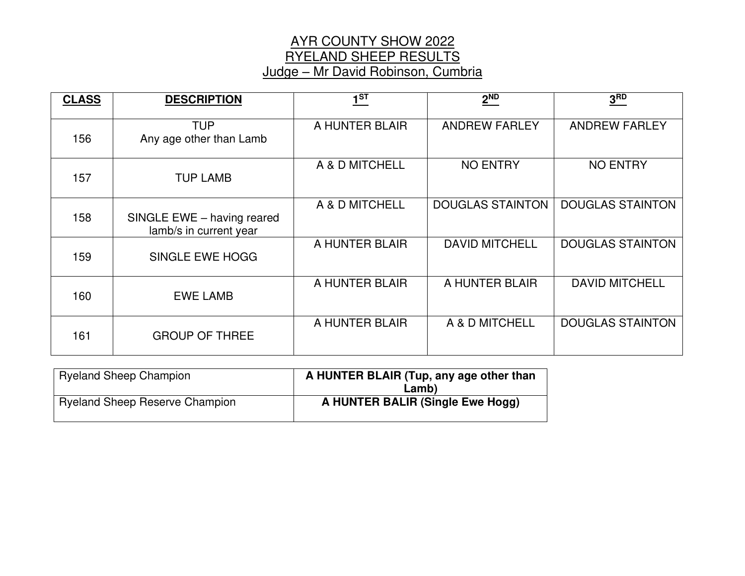## AYR COUNTY SHOW 2022 RYELAND SHEEP RESULTS Judge – Mr David Robinson, Cumbria

| <b>CLASS</b> | <b>DESCRIPTION</b>                                   | 1 <sup>ST</sup> | 2 <sup>ND</sup>         | 3 <sub>BD</sub>         |
|--------------|------------------------------------------------------|-----------------|-------------------------|-------------------------|
| 156          | <b>TUP</b><br>Any age other than Lamb                | A HUNTER BLAIR  | <b>ANDREW FARLEY</b>    | <b>ANDREW FARLEY</b>    |
| 157          | <b>TUP LAMB</b>                                      | A & D MITCHELL  | <b>NO ENTRY</b>         | <b>NO ENTRY</b>         |
| 158          | SINGLE EWE - having reared<br>lamb/s in current year | A & D MITCHELL  | <b>DOUGLAS STAINTON</b> | <b>DOUGLAS STAINTON</b> |
| 159          | SINGLE EWE HOGG                                      | A HUNTER BLAIR  | <b>DAVID MITCHELL</b>   | <b>DOUGLAS STAINTON</b> |
| 160          | <b>EWE LAMB</b>                                      | A HUNTER BLAIR  | A HUNTER BLAIR          | <b>DAVID MITCHELL</b>   |
| 161          | <b>GROUP OF THREE</b>                                | A HUNTER BLAIR  | A & D MITCHELL          | <b>DOUGLAS STAINTON</b> |

| <b>Ryeland Sheep Champion</b>         | A HUNTER BLAIR (Tup, any age other than<br>∟amb) |
|---------------------------------------|--------------------------------------------------|
| <b>Ryeland Sheep Reserve Champion</b> | A HUNTER BALIR (Single Ewe Hogg)                 |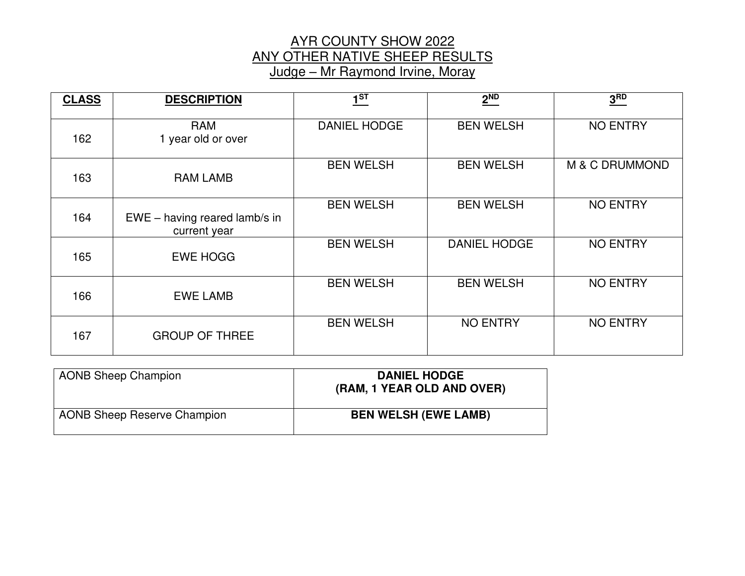#### AYR COUNTY SHOW 2022 ANY OTHER NATIVE SHEEP RESULTS Judge – Mr Raymond Irvine, Moray

| <b>CLASS</b> | <b>DESCRIPTION</b>                              | 1 <sup>ST</sup>     | 2 <sup>ND</sup>     | 3 <sub>BD</sub> |
|--------------|-------------------------------------------------|---------------------|---------------------|-----------------|
| 162          | <b>RAM</b><br>1 year old or over                | <b>DANIEL HODGE</b> | <b>BEN WELSH</b>    | <b>NO ENTRY</b> |
| 163          | <b>RAM LAMB</b>                                 | <b>BEN WELSH</b>    | <b>BEN WELSH</b>    | M & C DRUMMOND  |
| 164          | $EWE - having reared$ lamb/s in<br>current year | <b>BEN WELSH</b>    | <b>BEN WELSH</b>    | <b>NO ENTRY</b> |
| 165          | <b>EWE HOGG</b>                                 | <b>BEN WELSH</b>    | <b>DANIEL HODGE</b> | <b>NO ENTRY</b> |
| 166          | <b>EWE LAMB</b>                                 | <b>BEN WELSH</b>    | <b>BEN WELSH</b>    | <b>NO ENTRY</b> |
| 167          | <b>GROUP OF THREE</b>                           | <b>BEN WELSH</b>    | <b>NO ENTRY</b>     | <b>NO ENTRY</b> |

| <b>AONB Sheep Champion</b>         | <b>DANIEL HODGE</b><br>(RAM, 1 YEAR OLD AND OVER) |
|------------------------------------|---------------------------------------------------|
| <b>AONB Sheep Reserve Champion</b> | <b>BEN WELSH (EWE LAMB)</b>                       |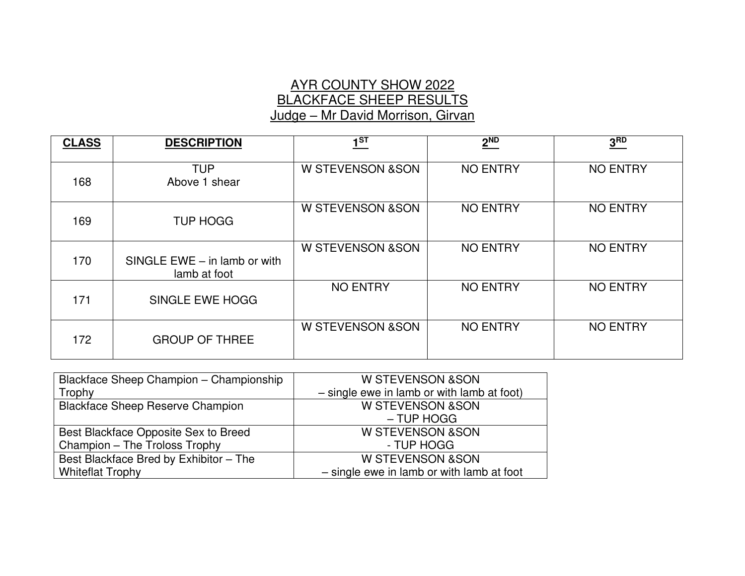# AYR COUNTY SHOW 2022 BLACKFACE SHEEP RESULTS Judge – Mr David Morrison, Girvan

| <b>CLASS</b> | <b>DESCRIPTION</b>                             | $1^{ST}$                     | $2^{ND}$        | 3 <sup>RD</sup> |
|--------------|------------------------------------------------|------------------------------|-----------------|-----------------|
| 168          | <b>TUP</b><br>Above 1 shear                    | <b>W STEVENSON &amp; SON</b> | <b>NO ENTRY</b> | <b>NO ENTRY</b> |
| 169          | <b>TUP HOGG</b>                                | <b>W STEVENSON &amp; SON</b> | <b>NO ENTRY</b> | <b>NO ENTRY</b> |
| 170          | SINGLE $EWE - in$ lamb or with<br>lamb at foot | <b>W STEVENSON &amp; SON</b> | <b>NO ENTRY</b> | <b>NO ENTRY</b> |
| 171          | SINGLE EWE HOGG                                | <b>NO ENTRY</b>              | <b>NO ENTRY</b> | <b>NO ENTRY</b> |
| 172          | <b>GROUP OF THREE</b>                          | W STEVENSON & SON            | <b>NO ENTRY</b> | <b>NO ENTRY</b> |

| Blackface Sheep Champion - Championship | <b>W STEVENSON &amp; SON</b>                 |
|-----------------------------------------|----------------------------------------------|
| Trophy                                  | $-$ single ewe in lamb or with lamb at foot) |
| <b>Blackface Sheep Reserve Champion</b> | <b>W STEVENSON &amp;SON</b>                  |
|                                         | $-$ TUP HOGG                                 |
| Best Blackface Opposite Sex to Breed    | <b>W STEVENSON &amp; SON</b>                 |
| Champion - The Troloss Trophy           | - TUP HOGG                                   |
| Best Blackface Bred by Exhibitor - The  | <b>W STEVENSON &amp; SON</b>                 |
| <b>Whiteflat Trophy</b>                 | - single ewe in lamb or with lamb at foot    |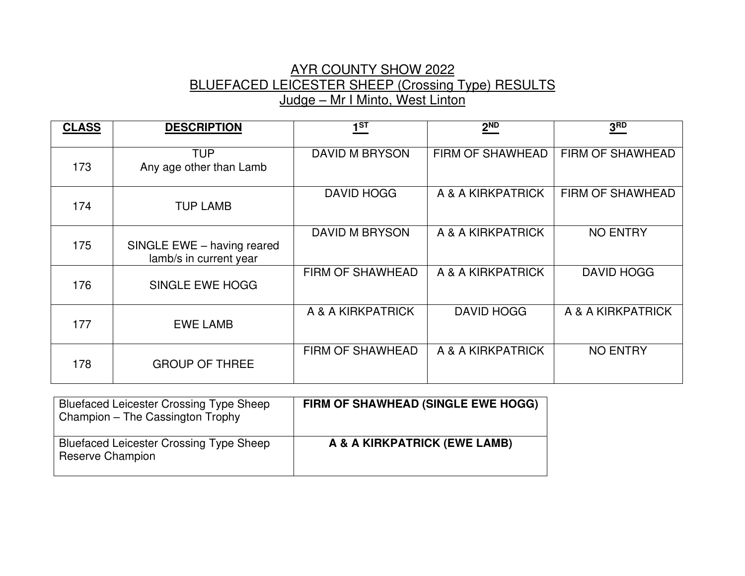## AYR COUNTY SHOW 2022 BLUEFACED LEICESTER SHEEP (Crossing Type) RESULTS Judge – Mr I Minto, West Linton

| <b>CLASS</b> | <b>DESCRIPTION</b>                                   | $1^{ST}$              | $2^{ND}$          | 3 <sup>RD</sup>   |
|--------------|------------------------------------------------------|-----------------------|-------------------|-------------------|
| 173          | <b>TUP</b><br>Any age other than Lamb                | <b>DAVID M BRYSON</b> | FIRM OF SHAWHEAD  | FIRM OF SHAWHEAD  |
| 174          | <b>TUP LAMB</b>                                      | <b>DAVID HOGG</b>     | A & A KIRKPATRICK | FIRM OF SHAWHEAD  |
| 175          | SINGLE EWE - having reared<br>lamb/s in current year | <b>DAVID M BRYSON</b> | A & A KIRKPATRICK | <b>NO ENTRY</b>   |
| 176          | SINGLE EWE HOGG                                      | FIRM OF SHAWHEAD      | A & A KIRKPATRICK | <b>DAVID HOGG</b> |
| 177          | <b>EWE LAMB</b>                                      | A & A KIRKPATRICK     | <b>DAVID HOGG</b> | A & A KIRKPATRICK |
| 178          | <b>GROUP OF THREE</b>                                | FIRM OF SHAWHEAD      | A & A KIRKPATRICK | <b>NO ENTRY</b>   |

| <b>Bluefaced Leicester Crossing Type Sheep</b><br>Champion – The Cassington Trophy | FIRM OF SHAWHEAD (SINGLE EWE HOGG) |
|------------------------------------------------------------------------------------|------------------------------------|
| <b>Bluefaced Leicester Crossing Type Sheep</b><br>Reserve Champion                 | A & A KIRKPATRICK (EWE LAMB)       |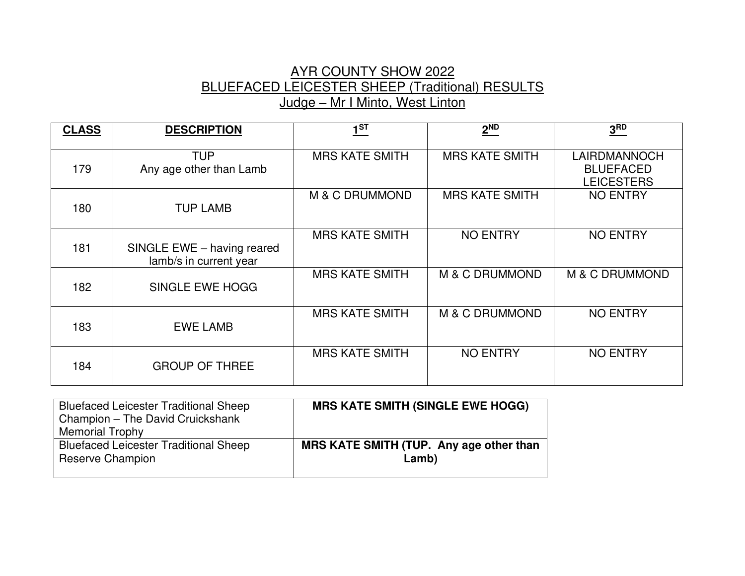# AYR COUNTY SHOW 2022 BLUEFACED LEICESTER SHEEP (Traditional) RESULTS Judge – Mr I Minto, West Linton

| <b>CLASS</b> | <b>DESCRIPTION</b>                                   | 1 <sub>ST</sub>       | $2^{ND}$              | 3 <sup>RD</sup>                                       |
|--------------|------------------------------------------------------|-----------------------|-----------------------|-------------------------------------------------------|
| 179          | <b>TUP</b><br>Any age other than Lamb                | <b>MRS KATE SMITH</b> | <b>MRS KATE SMITH</b> | LAIRDMANNOCH<br><b>BLUEFACED</b><br><b>LEICESTERS</b> |
| 180          | <b>TUP LAMB</b>                                      | M & C DRUMMOND        | <b>MRS KATE SMITH</b> | <b>NO ENTRY</b>                                       |
| 181          | SINGLE EWE - having reared<br>lamb/s in current year | <b>MRS KATE SMITH</b> | <b>NO ENTRY</b>       | <b>NO ENTRY</b>                                       |
| 182          | SINGLE EWE HOGG                                      | <b>MRS KATE SMITH</b> | M & C DRUMMOND        | M & C DRUMMOND                                        |
| 183          | <b>EWE LAMB</b>                                      | <b>MRS KATE SMITH</b> | M & C DRUMMOND        | <b>NO ENTRY</b>                                       |
| 184          | <b>GROUP OF THREE</b>                                | <b>MRS KATE SMITH</b> | <b>NO ENTRY</b>       | <b>NO ENTRY</b>                                       |

| <b>Bluefaced Leicester Traditional Sheep</b><br>Champion - The David Cruickshank | <b>MRS KATE SMITH (SINGLE EWE HOGG)</b>          |
|----------------------------------------------------------------------------------|--------------------------------------------------|
| <b>Memorial Trophy</b>                                                           |                                                  |
| <b>Bluefaced Leicester Traditional Sheep</b><br>Reserve Champion                 | MRS KATE SMITH (TUP. Any age other than<br>Lamb) |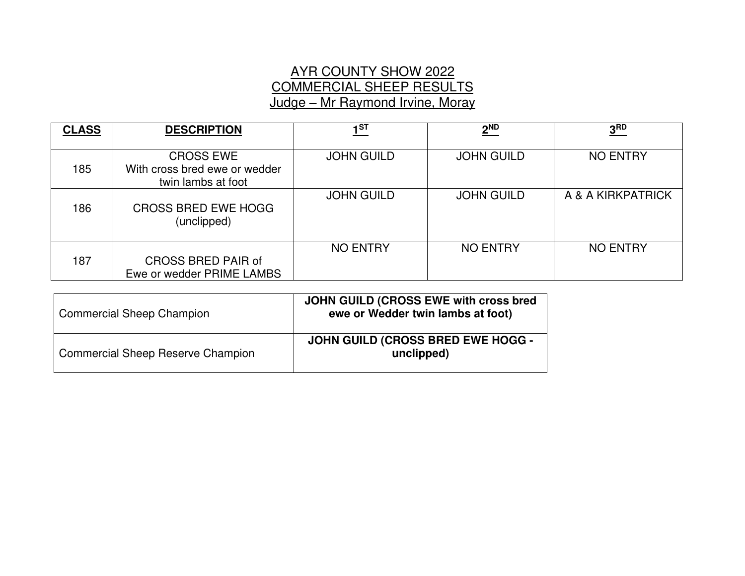# AYR COUNTY SHOW 2022 COMMERCIAL SHEEP RESULTS Judge – Mr Raymond Irvine, Moray

| <b>CLASS</b> | <b>DESCRIPTION</b>                                                      | 1 <sub>ST</sub>   | $2^{ND}$          | 3 <sup>RD</sup>   |
|--------------|-------------------------------------------------------------------------|-------------------|-------------------|-------------------|
| 185          | <b>CROSS EWE</b><br>With cross bred ewe or wedder<br>twin lambs at foot | <b>JOHN GUILD</b> | <b>JOHN GUILD</b> | <b>NO ENTRY</b>   |
| 186          | <b>CROSS BRED EWE HOGG</b><br>(unclipped)                               | <b>JOHN GUILD</b> | <b>JOHN GUILD</b> | A & A KIRKPATRICK |
| 187          | <b>CROSS BRED PAIR of</b><br>Ewe or wedder PRIME LAMBS                  | <b>NO ENTRY</b>   | <b>NO ENTRY</b>   | <b>NO ENTRY</b>   |

| <b>Commercial Sheep Champion</b>         | JOHN GUILD (CROSS EWE with cross bred<br>ewe or Wedder twin lambs at foot) |
|------------------------------------------|----------------------------------------------------------------------------|
| <b>Commercial Sheep Reserve Champion</b> | <b>JOHN GUILD (CROSS BRED EWE HOGG -</b><br>unclipped)                     |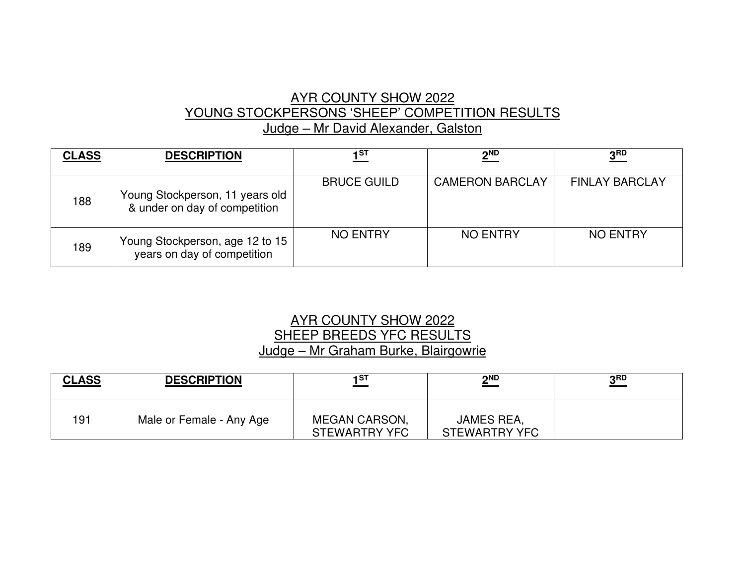# AYR COUNTY SHOW 2022 YOUNG STOCKPERSONS 'SHEEP' COMPETITION RESULTS Judge – Mr David Alexander, Galston

| <b>CLASS</b> | <b>DESCRIPTION</b>                                               | 1ST                | 2 <sub>ND</sub>        | 3 <sub>RD</sub>       |
|--------------|------------------------------------------------------------------|--------------------|------------------------|-----------------------|
| 188          | Young Stockperson, 11 years old<br>& under on day of competition | <b>BRUCE GUILD</b> | <b>CAMERON BARCLAY</b> | <b>FINLAY BARCLAY</b> |
| 189          | Young Stockperson, age 12 to 15<br>years on day of competition   | <b>NO ENTRY</b>    | <b>NO ENTRY</b>        | <b>NO ENTRY</b>       |

#### AYR COUNTY SHOW 2022 SHEEP BREEDS YFC RESULTS Judge – Mr Graham Burke, Blairgowrie

| <b>CLASS</b> | <b>DESCRIPTION</b>       | 1ST                                   | $2^{ND}$                           | ? RD |
|--------------|--------------------------|---------------------------------------|------------------------------------|------|
| 191          | Male or Female - Any Age | <b>MEGAN CARSON,</b><br>STEWARTRY YFC | JAMES REA,<br><b>STEWARTRY YFC</b> |      |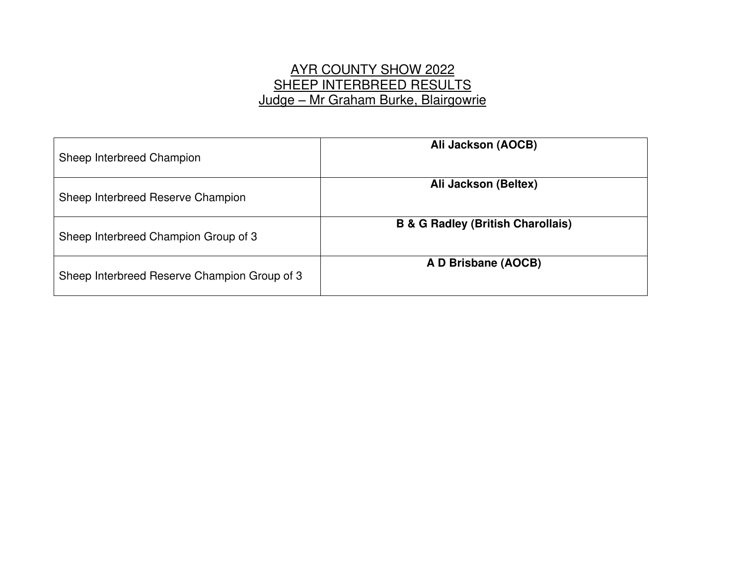# AYR COUNTY SHOW 2022 SHEEP INTERBREED RESULTS Judge – Mr Graham Burke, Blairgowrie

| Sheep Interbreed Champion                    | Ali Jackson (AOCB)                           |
|----------------------------------------------|----------------------------------------------|
| Sheep Interbreed Reserve Champion            | Ali Jackson (Beltex)                         |
| Sheep Interbreed Champion Group of 3         | <b>B &amp; G Radley (British Charollais)</b> |
| Sheep Interbreed Reserve Champion Group of 3 | A D Brisbane (AOCB)                          |